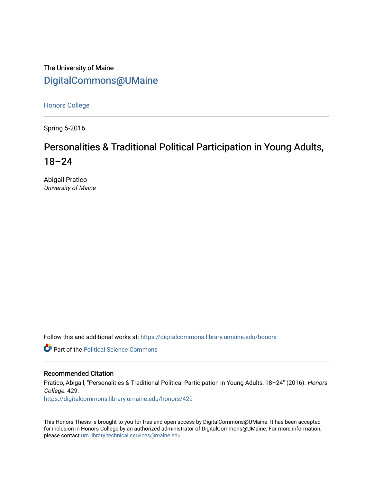The University of Maine [DigitalCommons@UMaine](https://digitalcommons.library.umaine.edu/)

[Honors College](https://digitalcommons.library.umaine.edu/honors)

Spring 5-2016

# Personalities & Traditional Political Participation in Young Adults, 18–24

Abigail Pratico University of Maine

Follow this and additional works at: [https://digitalcommons.library.umaine.edu/honors](https://digitalcommons.library.umaine.edu/honors?utm_source=digitalcommons.library.umaine.edu%2Fhonors%2F429&utm_medium=PDF&utm_campaign=PDFCoverPages) 

**C** Part of the Political Science Commons

## Recommended Citation

Pratico, Abigail, "Personalities & Traditional Political Participation in Young Adults, 18–24" (2016). Honors College. 429.

[https://digitalcommons.library.umaine.edu/honors/429](https://digitalcommons.library.umaine.edu/honors/429?utm_source=digitalcommons.library.umaine.edu%2Fhonors%2F429&utm_medium=PDF&utm_campaign=PDFCoverPages) 

This Honors Thesis is brought to you for free and open access by DigitalCommons@UMaine. It has been accepted for inclusion in Honors College by an authorized administrator of DigitalCommons@UMaine. For more information, please contact [um.library.technical.services@maine.edu.](mailto:um.library.technical.services@maine.edu)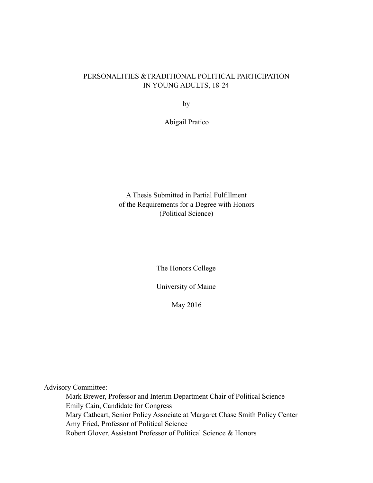## PERSONALITIES &TRADITIONAL POLITICAL PARTICIPATION IN YOUNG ADULTS, 18-24

by

Abigail Pratico

A Thesis Submitted in Partial Fulfillment of the Requirements for a Degree with Honors (Political Science)

The Honors College

University of Maine

May 2016

Advisory Committee:

 Mark Brewer, Professor and Interim Department Chair of Political Science Emily Cain, Candidate for Congress Mary Cathcart, Senior Policy Associate at Margaret Chase Smith Policy Center Amy Fried, Professor of Political Science Robert Glover, Assistant Professor of Political Science & Honors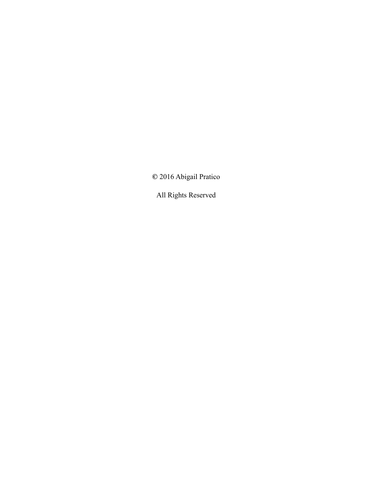**©** 2016 Abigail Pratico

All Rights Reserved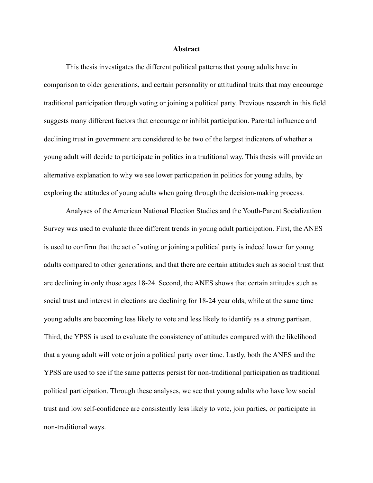#### **Abstract**

 This thesis investigates the different political patterns that young adults have in comparison to older generations, and certain personality or attitudinal traits that may encourage traditional participation through voting or joining a political party. Previous research in this field suggests many different factors that encourage or inhibit participation. Parental influence and declining trust in government are considered to be two of the largest indicators of whether a young adult will decide to participate in politics in a traditional way. This thesis will provide an alternative explanation to why we see lower participation in politics for young adults, by exploring the attitudes of young adults when going through the decision-making process.

 Analyses of the American National Election Studies and the Youth-Parent Socialization Survey was used to evaluate three different trends in young adult participation. First, the ANES is used to confirm that the act of voting or joining a political party is indeed lower for young adults compared to other generations, and that there are certain attitudes such as social trust that are declining in only those ages 18-24. Second, the ANES shows that certain attitudes such as social trust and interest in elections are declining for 18-24 year olds, while at the same time young adults are becoming less likely to vote and less likely to identify as a strong partisan. Third, the YPSS is used to evaluate the consistency of attitudes compared with the likelihood that a young adult will vote or join a political party over time. Lastly, both the ANES and the YPSS are used to see if the same patterns persist for non-traditional participation as traditional political participation. Through these analyses, we see that young adults who have low social trust and low self-confidence are consistently less likely to vote, join parties, or participate in non-traditional ways.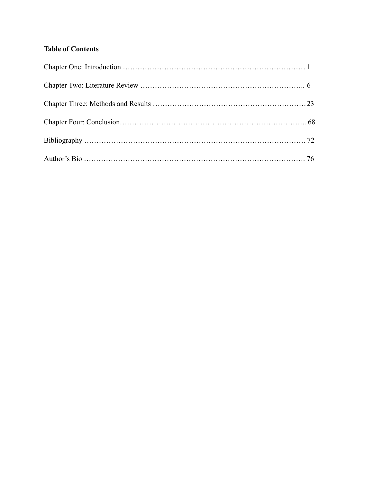## **Table of Contents**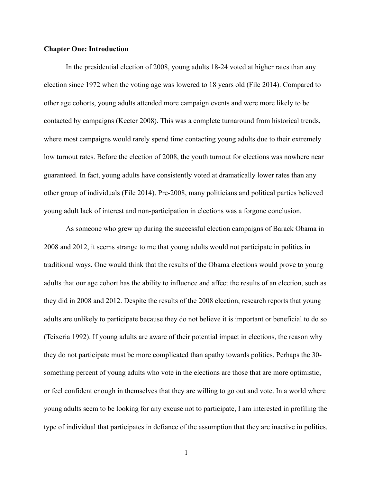## **Chapter One: Introduction**

 In the presidential election of 2008, young adults 18-24 voted at higher rates than any election since 1972 when the voting age was lowered to 18 years old (File 2014). Compared to other age cohorts, young adults attended more campaign events and were more likely to be contacted by campaigns (Keeter 2008). This was a complete turnaround from historical trends, where most campaigns would rarely spend time contacting young adults due to their extremely low turnout rates. Before the election of 2008, the youth turnout for elections was nowhere near guaranteed. In fact, young adults have consistently voted at dramatically lower rates than any other group of individuals (File 2014). Pre-2008, many politicians and political parties believed young adult lack of interest and non-participation in elections was a forgone conclusion.

 As someone who grew up during the successful election campaigns of Barack Obama in 2008 and 2012, it seems strange to me that young adults would not participate in politics in traditional ways. One would think that the results of the Obama elections would prove to young adults that our age cohort has the ability to influence and affect the results of an election, such as they did in 2008 and 2012. Despite the results of the 2008 election, research reports that young adults are unlikely to participate because they do not believe it is important or beneficial to do so (Teixeria 1992). If young adults are aware of their potential impact in elections, the reason why they do not participate must be more complicated than apathy towards politics. Perhaps the 30 something percent of young adults who vote in the elections are those that are more optimistic, or feel confident enough in themselves that they are willing to go out and vote. In a world where young adults seem to be looking for any excuse not to participate, I am interested in profiling the type of individual that participates in defiance of the assumption that they are inactive in politics.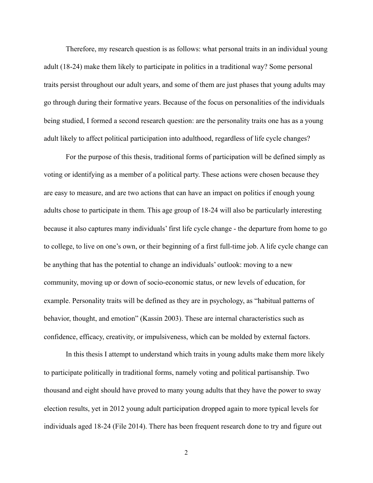Therefore, my research question is as follows: what personal traits in an individual young adult (18-24) make them likely to participate in politics in a traditional way? Some personal traits persist throughout our adult years, and some of them are just phases that young adults may go through during their formative years. Because of the focus on personalities of the individuals being studied, I formed a second research question: are the personality traits one has as a young adult likely to affect political participation into adulthood, regardless of life cycle changes?

 For the purpose of this thesis, traditional forms of participation will be defined simply as voting or identifying as a member of a political party. These actions were chosen because they are easy to measure, and are two actions that can have an impact on politics if enough young adults chose to participate in them. This age group of 18-24 will also be particularly interesting because it also captures many individuals' first life cycle change - the departure from home to go to college, to live on one's own, or their beginning of a first full-time job. A life cycle change can be anything that has the potential to change an individuals' outlook: moving to a new community, moving up or down of socio-economic status, or new levels of education, for example. Personality traits will be defined as they are in psychology, as "habitual patterns of behavior, thought, and emotion" (Kassin 2003). These are internal characteristics such as confidence, efficacy, creativity, or impulsiveness, which can be molded by external factors.

 In this thesis I attempt to understand which traits in young adults make them more likely to participate politically in traditional forms, namely voting and political partisanship. Two thousand and eight should have proved to many young adults that they have the power to sway election results, yet in 2012 young adult participation dropped again to more typical levels for individuals aged 18-24 (File 2014). There has been frequent research done to try and figure out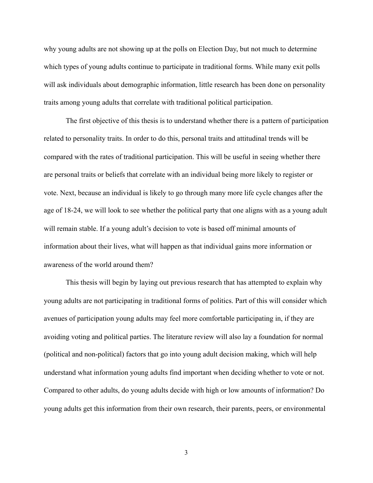why young adults are not showing up at the polls on Election Day, but not much to determine which types of young adults continue to participate in traditional forms. While many exit polls will ask individuals about demographic information, little research has been done on personality traits among young adults that correlate with traditional political participation.

 The first objective of this thesis is to understand whether there is a pattern of participation related to personality traits. In order to do this, personal traits and attitudinal trends will be compared with the rates of traditional participation. This will be useful in seeing whether there are personal traits or beliefs that correlate with an individual being more likely to register or vote. Next, because an individual is likely to go through many more life cycle changes after the age of 18-24, we will look to see whether the political party that one aligns with as a young adult will remain stable. If a young adult's decision to vote is based off minimal amounts of information about their lives, what will happen as that individual gains more information or awareness of the world around them?

 This thesis will begin by laying out previous research that has attempted to explain why young adults are not participating in traditional forms of politics. Part of this will consider which avenues of participation young adults may feel more comfortable participating in, if they are avoiding voting and political parties. The literature review will also lay a foundation for normal (political and non-political) factors that go into young adult decision making, which will help understand what information young adults find important when deciding whether to vote or not. Compared to other adults, do young adults decide with high or low amounts of information? Do young adults get this information from their own research, their parents, peers, or environmental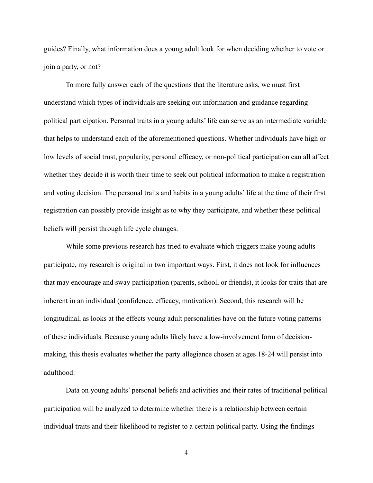guides? Finally, what information does a young adult look for when deciding whether to vote or join a party, or not?

 To more fully answer each of the questions that the literature asks, we must first understand which types of individuals are seeking out information and guidance regarding political participation. Personal traits in a young adults' life can serve as an intermediate variable that helps to understand each of the aforementioned questions. Whether individuals have high or low levels of social trust, popularity, personal efficacy, or non-political participation can all affect whether they decide it is worth their time to seek out political information to make a registration and voting decision. The personal traits and habits in a young adults' life at the time of their first registration can possibly provide insight as to why they participate, and whether these political beliefs will persist through life cycle changes.

 While some previous research has tried to evaluate which triggers make young adults participate, my research is original in two important ways. First, it does not look for influences that may encourage and sway participation (parents, school, or friends), it looks for traits that are inherent in an individual (confidence, efficacy, motivation). Second, this research will be longitudinal, as looks at the effects young adult personalities have on the future voting patterns of these individuals. Because young adults likely have a low-involvement form of decisionmaking, this thesis evaluates whether the party allegiance chosen at ages 18-24 will persist into adulthood.

 Data on young adults' personal beliefs and activities and their rates of traditional political participation will be analyzed to determine whether there is a relationship between certain individual traits and their likelihood to register to a certain political party. Using the findings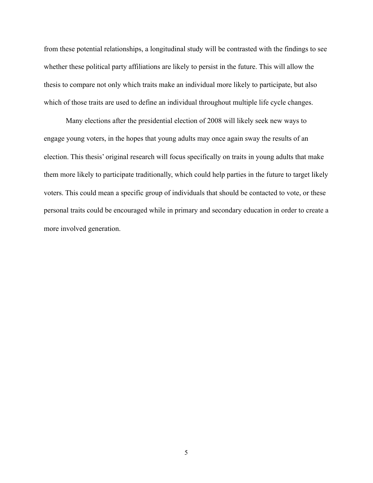from these potential relationships, a longitudinal study will be contrasted with the findings to see whether these political party affiliations are likely to persist in the future. This will allow the thesis to compare not only which traits make an individual more likely to participate, but also which of those traits are used to define an individual throughout multiple life cycle changes.

 Many elections after the presidential election of 2008 will likely seek new ways to engage young voters, in the hopes that young adults may once again sway the results of an election. This thesis' original research will focus specifically on traits in young adults that make them more likely to participate traditionally, which could help parties in the future to target likely voters. This could mean a specific group of individuals that should be contacted to vote, or these personal traits could be encouraged while in primary and secondary education in order to create a more involved generation.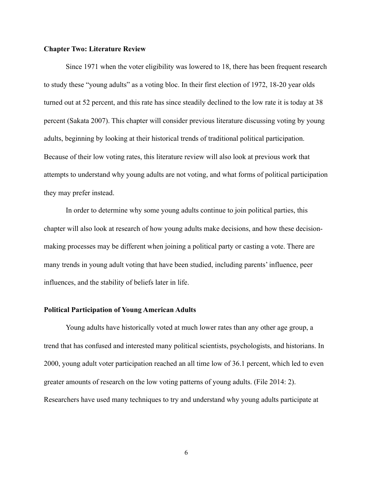## **Chapter Two: Literature Review**

 Since 1971 when the voter eligibility was lowered to 18, there has been frequent research to study these "young adults" as a voting bloc. In their first election of 1972, 18-20 year olds turned out at 52 percent, and this rate has since steadily declined to the low rate it is today at 38 percent (Sakata 2007). This chapter will consider previous literature discussing voting by young adults, beginning by looking at their historical trends of traditional political participation. Because of their low voting rates, this literature review will also look at previous work that attempts to understand why young adults are not voting, and what forms of political participation they may prefer instead.

 In order to determine why some young adults continue to join political parties, this chapter will also look at research of how young adults make decisions, and how these decisionmaking processes may be different when joining a political party or casting a vote. There are many trends in young adult voting that have been studied, including parents' influence, peer influences, and the stability of beliefs later in life.

## **Political Participation of Young American Adults**

 Young adults have historically voted at much lower rates than any other age group, a trend that has confused and interested many political scientists, psychologists, and historians. In 2000, young adult voter participation reached an all time low of 36.1 percent, which led to even greater amounts of research on the low voting patterns of young adults. (File 2014: 2). Researchers have used many techniques to try and understand why young adults participate at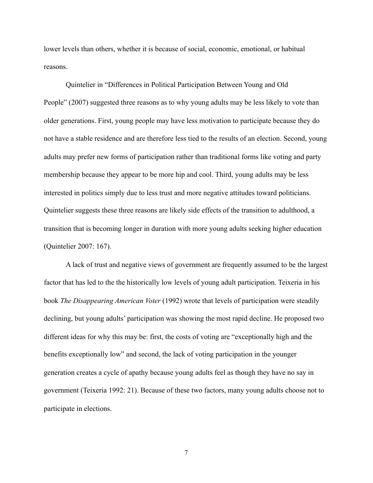lower levels than others, whether it is because of social, economic, emotional, or habitual reasons.

 Quintelier in "Differences in Political Participation Between Young and Old People" (2007) suggested three reasons as to why young adults may be less likely to vote than older generations. First, young people may have less motivation to participate because they do not have a stable residence and are therefore less tied to the results of an election. Second, young adults may prefer new forms of participation rather than traditional forms like voting and party membership because they appear to be more hip and cool. Third, young adults may be less interested in politics simply due to less trust and more negative attitudes toward politicians. Quintelier suggests these three reasons are likely side effects of the transition to adulthood, a transition that is becoming longer in duration with more young adults seeking higher education (Quintelier 2007: 167).

 A lack of trust and negative views of government are frequently assumed to be the largest factor that has led to the the historically low levels of young adult participation. Teixeria in his book *The Disappearing American Voter* (1992) wrote that levels of participation were steadily declining, but young adults' participation was showing the most rapid decline. He proposed two different ideas for why this may be: first, the costs of voting are "exceptionally high and the benefits exceptionally low" and second, the lack of voting participation in the younger generation creates a cycle of apathy because young adults feel as though they have no say in government (Teixeria 1992: 21). Because of these two factors, many young adults choose not to participate in elections.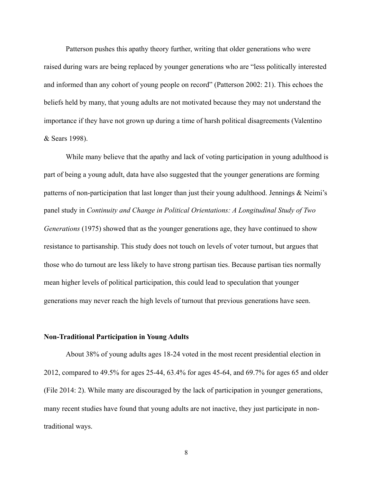Patterson pushes this apathy theory further, writing that older generations who were raised during wars are being replaced by younger generations who are "less politically interested and informed than any cohort of young people on record" (Patterson 2002: 21). This echoes the beliefs held by many, that young adults are not motivated because they may not understand the importance if they have not grown up during a time of harsh political disagreements (Valentino & Sears 1998).

 While many believe that the apathy and lack of voting participation in young adulthood is part of being a young adult, data have also suggested that the younger generations are forming patterns of non-participation that last longer than just their young adulthood. Jennings & Neimi's panel study in *Continuity and Change in Political Orientations: A Longitudinal Study of Two Generations* (1975) showed that as the younger generations age, they have continued to show resistance to partisanship. This study does not touch on levels of voter turnout, but argues that those who do turnout are less likely to have strong partisan ties. Because partisan ties normally mean higher levels of political participation, this could lead to speculation that younger generations may never reach the high levels of turnout that previous generations have seen.

#### **Non-Traditional Participation in Young Adults**

 About 38% of young adults ages 18-24 voted in the most recent presidential election in 2012, compared to 49.5% for ages 25-44, 63.4% for ages 45-64, and 69.7% for ages 65 and older (File 2014: 2). While many are discouraged by the lack of participation in younger generations, many recent studies have found that young adults are not inactive, they just participate in nontraditional ways.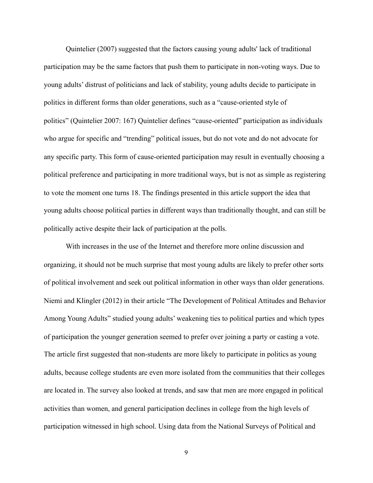Quintelier (2007) suggested that the factors causing young adults' lack of traditional participation may be the same factors that push them to participate in non-voting ways. Due to young adults' distrust of politicians and lack of stability, young adults decide to participate in politics in different forms than older generations, such as a "cause-oriented style of politics" (Quintelier 2007: 167) Quintelier defines "cause-oriented" participation as individuals who argue for specific and "trending" political issues, but do not vote and do not advocate for any specific party. This form of cause-oriented participation may result in eventually choosing a political preference and participating in more traditional ways, but is not as simple as registering to vote the moment one turns 18. The findings presented in this article support the idea that young adults choose political parties in different ways than traditionally thought, and can still be politically active despite their lack of participation at the polls.

 With increases in the use of the Internet and therefore more online discussion and organizing, it should not be much surprise that most young adults are likely to prefer other sorts of political involvement and seek out political information in other ways than older generations. Niemi and Klingler (2012) in their article "The Development of Political Attitudes and Behavior Among Young Adults" studied young adults' weakening ties to political parties and which types of participation the younger generation seemed to prefer over joining a party or casting a vote. The article first suggested that non-students are more likely to participate in politics as young adults, because college students are even more isolated from the communities that their colleges are located in. The survey also looked at trends, and saw that men are more engaged in political activities than women, and general participation declines in college from the high levels of participation witnessed in high school. Using data from the National Surveys of Political and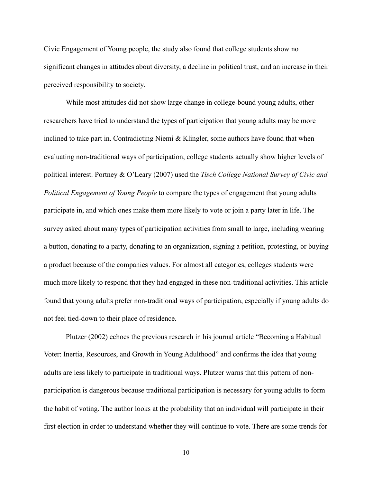Civic Engagement of Young people, the study also found that college students show no significant changes in attitudes about diversity, a decline in political trust, and an increase in their perceived responsibility to society.

 While most attitudes did not show large change in college-bound young adults, other researchers have tried to understand the types of participation that young adults may be more inclined to take part in. Contradicting Niemi & Klingler, some authors have found that when evaluating non-traditional ways of participation, college students actually show higher levels of political interest. Portney & O'Leary (2007) used the *Tisch College National Survey of Civic and Political Engagement of Young People* to compare the types of engagement that young adults participate in, and which ones make them more likely to vote or join a party later in life. The survey asked about many types of participation activities from small to large, including wearing a button, donating to a party, donating to an organization, signing a petition, protesting, or buying a product because of the companies values. For almost all categories, colleges students were much more likely to respond that they had engaged in these non-traditional activities. This article found that young adults prefer non-traditional ways of participation, especially if young adults do not feel tied-down to their place of residence.

 Plutzer (2002) echoes the previous research in his journal article "Becoming a Habitual Voter: Inertia, Resources, and Growth in Young Adulthood" and confirms the idea that young adults are less likely to participate in traditional ways. Plutzer warns that this pattern of nonparticipation is dangerous because traditional participation is necessary for young adults to form the habit of voting. The author looks at the probability that an individual will participate in their first election in order to understand whether they will continue to vote. There are some trends for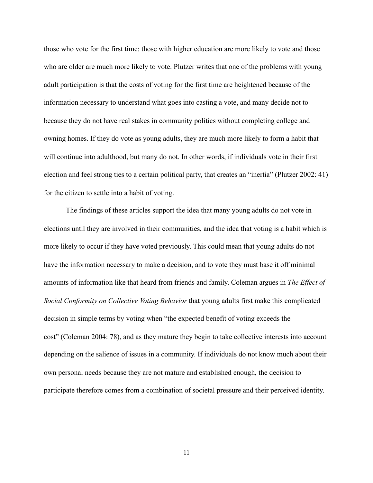those who vote for the first time: those with higher education are more likely to vote and those who are older are much more likely to vote. Plutzer writes that one of the problems with young adult participation is that the costs of voting for the first time are heightened because of the information necessary to understand what goes into casting a vote, and many decide not to because they do not have real stakes in community politics without completing college and owning homes. If they do vote as young adults, they are much more likely to form a habit that will continue into adulthood, but many do not. In other words, if individuals vote in their first election and feel strong ties to a certain political party, that creates an "inertia" (Plutzer 2002: 41) for the citizen to settle into a habit of voting.

 The findings of these articles support the idea that many young adults do not vote in elections until they are involved in their communities, and the idea that voting is a habit which is more likely to occur if they have voted previously. This could mean that young adults do not have the information necessary to make a decision, and to vote they must base it off minimal amounts of information like that heard from friends and family. Coleman argues in *The Effect of Social Conformity on Collective Voting Behavior* that young adults first make this complicated decision in simple terms by voting when "the expected benefit of voting exceeds the cost" (Coleman 2004: 78), and as they mature they begin to take collective interests into account depending on the salience of issues in a community. If individuals do not know much about their own personal needs because they are not mature and established enough, the decision to participate therefore comes from a combination of societal pressure and their perceived identity.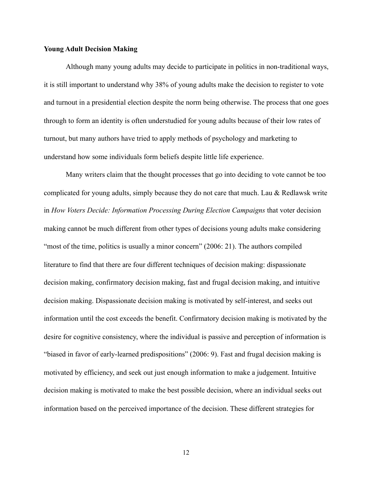## **Young Adult Decision Making**

 Although many young adults may decide to participate in politics in non-traditional ways, it is still important to understand why 38% of young adults make the decision to register to vote and turnout in a presidential election despite the norm being otherwise. The process that one goes through to form an identity is often understudied for young adults because of their low rates of turnout, but many authors have tried to apply methods of psychology and marketing to understand how some individuals form beliefs despite little life experience.

 Many writers claim that the thought processes that go into deciding to vote cannot be too complicated for young adults, simply because they do not care that much. Lau & Redlawsk write in *How Voters Decide: Information Processing During Election Campaigns* that voter decision making cannot be much different from other types of decisions young adults make considering "most of the time, politics is usually a minor concern" (2006: 21). The authors compiled literature to find that there are four different techniques of decision making: dispassionate decision making, confirmatory decision making, fast and frugal decision making, and intuitive decision making. Dispassionate decision making is motivated by self-interest, and seeks out information until the cost exceeds the benefit. Confirmatory decision making is motivated by the desire for cognitive consistency, where the individual is passive and perception of information is "biased in favor of early-learned predispositions" (2006: 9). Fast and frugal decision making is motivated by efficiency, and seek out just enough information to make a judgement. Intuitive decision making is motivated to make the best possible decision, where an individual seeks out information based on the perceived importance of the decision. These different strategies for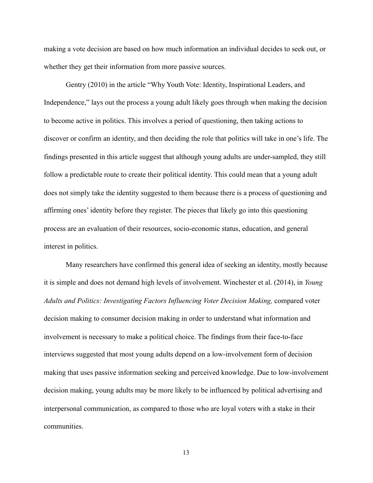making a vote decision are based on how much information an individual decides to seek out, or whether they get their information from more passive sources.

 Gentry (2010) in the article "Why Youth Vote: Identity, Inspirational Leaders, and Independence," lays out the process a young adult likely goes through when making the decision to become active in politics. This involves a period of questioning, then taking actions to discover or confirm an identity, and then deciding the role that politics will take in one's life. The findings presented in this article suggest that although young adults are under-sampled, they still follow a predictable route to create their political identity. This could mean that a young adult does not simply take the identity suggested to them because there is a process of questioning and affirming ones' identity before they register. The pieces that likely go into this questioning process are an evaluation of their resources, socio-economic status, education, and general interest in politics.

 Many researchers have confirmed this general idea of seeking an identity, mostly because it is simple and does not demand high levels of involvement. Winchester et al. (2014), in *Young Adults and Politics: Investigating Factors Influencing Voter Decision Making,* compared voter decision making to consumer decision making in order to understand what information and involvement is necessary to make a political choice. The findings from their face-to-face interviews suggested that most young adults depend on a low-involvement form of decision making that uses passive information seeking and perceived knowledge. Due to low-involvement decision making, young adults may be more likely to be influenced by political advertising and interpersonal communication, as compared to those who are loyal voters with a stake in their communities.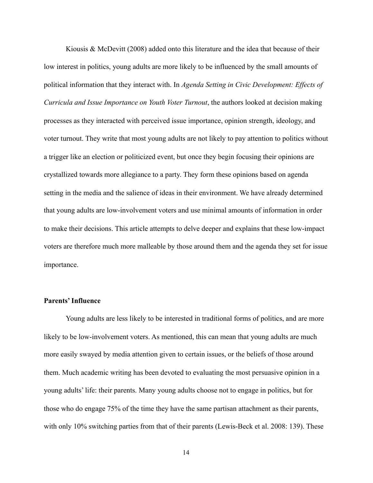Kiousis & McDevitt  $(2008)$  added onto this literature and the idea that because of their low interest in politics, young adults are more likely to be influenced by the small amounts of political information that they interact with. In *Agenda Setting in Civic Development: Effects of Curricula and Issue Importance on Youth Voter Turnout*, the authors looked at decision making processes as they interacted with perceived issue importance, opinion strength, ideology, and voter turnout. They write that most young adults are not likely to pay attention to politics without a trigger like an election or politicized event, but once they begin focusing their opinions are crystallized towards more allegiance to a party. They form these opinions based on agenda setting in the media and the salience of ideas in their environment. We have already determined that young adults are low-involvement voters and use minimal amounts of information in order to make their decisions. This article attempts to delve deeper and explains that these low-impact voters are therefore much more malleable by those around them and the agenda they set for issue importance.

## **Parents' Influence**

 Young adults are less likely to be interested in traditional forms of politics, and are more likely to be low-involvement voters. As mentioned, this can mean that young adults are much more easily swayed by media attention given to certain issues, or the beliefs of those around them. Much academic writing has been devoted to evaluating the most persuasive opinion in a young adults' life: their parents. Many young adults choose not to engage in politics, but for those who do engage 75% of the time they have the same partisan attachment as their parents, with only 10% switching parties from that of their parents (Lewis-Beck et al. 2008: 139). These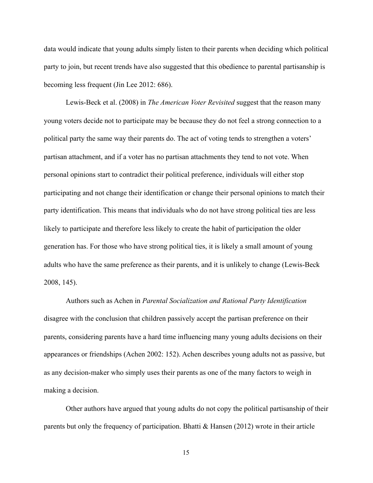data would indicate that young adults simply listen to their parents when deciding which political party to join, but recent trends have also suggested that this obedience to parental partisanship is becoming less frequent (Jin Lee 2012: 686).

 Lewis-Beck et al. (2008) in *The American Voter Revisited* suggest that the reason many young voters decide not to participate may be because they do not feel a strong connection to a political party the same way their parents do. The act of voting tends to strengthen a voters' partisan attachment, and if a voter has no partisan attachments they tend to not vote. When personal opinions start to contradict their political preference, individuals will either stop participating and not change their identification or change their personal opinions to match their party identification. This means that individuals who do not have strong political ties are less likely to participate and therefore less likely to create the habit of participation the older generation has. For those who have strong political ties, it is likely a small amount of young adults who have the same preference as their parents, and it is unlikely to change (Lewis-Beck 2008, 145).

 Authors such as Achen in *Parental Socialization and Rational Party Identification* disagree with the conclusion that children passively accept the partisan preference on their parents, considering parents have a hard time influencing many young adults decisions on their appearances or friendships (Achen 2002: 152). Achen describes young adults not as passive, but as any decision-maker who simply uses their parents as one of the many factors to weigh in making a decision.

 Other authors have argued that young adults do not copy the political partisanship of their parents but only the frequency of participation. Bhatti & Hansen (2012) wrote in their article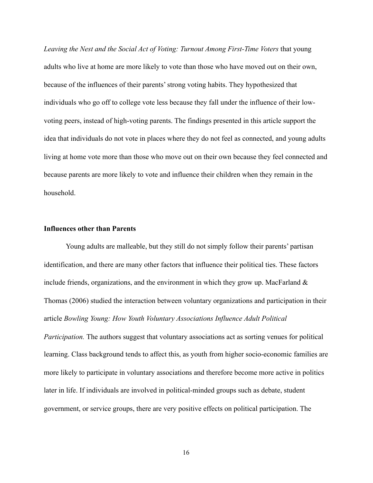*Leaving the Nest and the Social Act of Voting: Turnout Among First-Time Voters* that young adults who live at home are more likely to vote than those who have moved out on their own, because of the influences of their parents' strong voting habits. They hypothesized that individuals who go off to college vote less because they fall under the influence of their lowvoting peers, instead of high-voting parents. The findings presented in this article support the idea that individuals do not vote in places where they do not feel as connected, and young adults living at home vote more than those who move out on their own because they feel connected and because parents are more likely to vote and influence their children when they remain in the household.

#### **Influences other than Parents**

 Young adults are malleable, but they still do not simply follow their parents' partisan identification, and there are many other factors that influence their political ties. These factors include friends, organizations, and the environment in which they grow up. MacFarland  $\&$ Thomas (2006) studied the interaction between voluntary organizations and participation in their article *Bowling Young: How Youth Voluntary Associations Influence Adult Political Participation.* The authors suggest that voluntary associations act as sorting venues for political learning. Class background tends to affect this, as youth from higher socio-economic families are more likely to participate in voluntary associations and therefore become more active in politics later in life. If individuals are involved in political-minded groups such as debate, student government, or service groups, there are very positive effects on political participation. The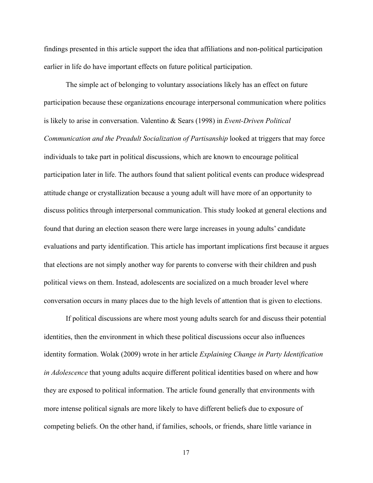findings presented in this article support the idea that affiliations and non-political participation earlier in life do have important effects on future political participation.

 The simple act of belonging to voluntary associations likely has an effect on future participation because these organizations encourage interpersonal communication where politics is likely to arise in conversation. Valentino & Sears (1998) in *Event-Driven Political Communication and the Preadult Socialization of Partisanship* looked at triggers that may force individuals to take part in political discussions, which are known to encourage political participation later in life. The authors found that salient political events can produce widespread attitude change or crystallization because a young adult will have more of an opportunity to discuss politics through interpersonal communication. This study looked at general elections and found that during an election season there were large increases in young adults' candidate evaluations and party identification. This article has important implications first because it argues that elections are not simply another way for parents to converse with their children and push political views on them. Instead, adolescents are socialized on a much broader level where conversation occurs in many places due to the high levels of attention that is given to elections.

 If political discussions are where most young adults search for and discuss their potential identities, then the environment in which these political discussions occur also influences identity formation. Wolak (2009) wrote in her article *Explaining Change in Party Identification in Adolescence* that young adults acquire different political identities based on where and how they are exposed to political information. The article found generally that environments with more intense political signals are more likely to have different beliefs due to exposure of competing beliefs. On the other hand, if families, schools, or friends, share little variance in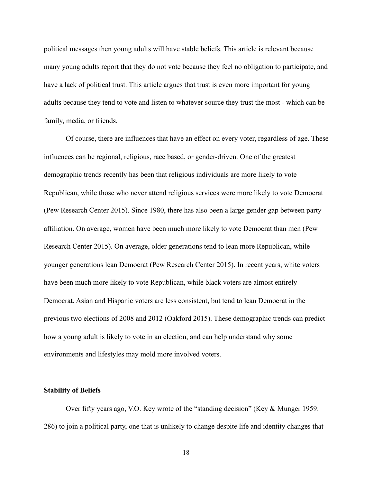political messages then young adults will have stable beliefs. This article is relevant because many young adults report that they do not vote because they feel no obligation to participate, and have a lack of political trust. This article argues that trust is even more important for young adults because they tend to vote and listen to whatever source they trust the most - which can be family, media, or friends.

 Of course, there are influences that have an effect on every voter, regardless of age. These influences can be regional, religious, race based, or gender-driven. One of the greatest demographic trends recently has been that religious individuals are more likely to vote Republican, while those who never attend religious services were more likely to vote Democrat (Pew Research Center 2015). Since 1980, there has also been a large gender gap between party affiliation. On average, women have been much more likely to vote Democrat than men (Pew Research Center 2015). On average, older generations tend to lean more Republican, while younger generations lean Democrat (Pew Research Center 2015). In recent years, white voters have been much more likely to vote Republican, while black voters are almost entirely Democrat. Asian and Hispanic voters are less consistent, but tend to lean Democrat in the previous two elections of 2008 and 2012 (Oakford 2015). These demographic trends can predict how a young adult is likely to vote in an election, and can help understand why some environments and lifestyles may mold more involved voters.

## **Stability of Beliefs**

 Over fifty years ago, V.O. Key wrote of the "standing decision" (Key & Munger 1959: 286) to join a political party, one that is unlikely to change despite life and identity changes that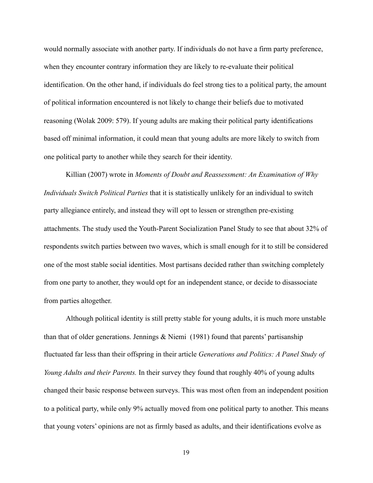would normally associate with another party. If individuals do not have a firm party preference, when they encounter contrary information they are likely to re-evaluate their political identification. On the other hand, if individuals do feel strong ties to a political party, the amount of political information encountered is not likely to change their beliefs due to motivated reasoning (Wolak 2009: 579). If young adults are making their political party identifications based off minimal information, it could mean that young adults are more likely to switch from one political party to another while they search for their identity.

 Killian (2007) wrote in *Moments of Doubt and Reassessment: An Examination of Why Individuals Switch Political Parties* that it is statistically unlikely for an individual to switch party allegiance entirely, and instead they will opt to lessen or strengthen pre-existing attachments. The study used the Youth-Parent Socialization Panel Study to see that about 32% of respondents switch parties between two waves, which is small enough for it to still be considered one of the most stable social identities. Most partisans decided rather than switching completely from one party to another, they would opt for an independent stance, or decide to disassociate from parties altogether.

 Although political identity is still pretty stable for young adults, it is much more unstable than that of older generations. Jennings  $\&$  Niemi (1981) found that parents' partisanship fluctuated far less than their offspring in their article *Generations and Politics: A Panel Study of Young Adults and their Parents.* In their survey they found that roughly 40% of young adults changed their basic response between surveys. This was most often from an independent position to a political party, while only 9% actually moved from one political party to another. This means that young voters' opinions are not as firmly based as adults, and their identifications evolve as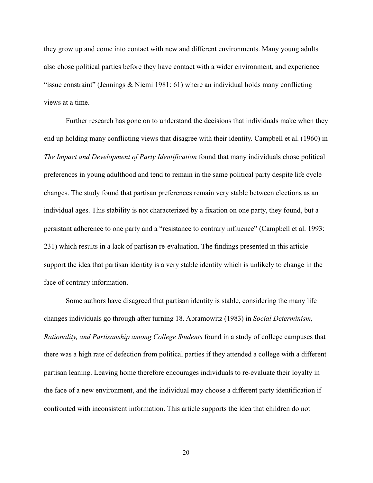they grow up and come into contact with new and different environments. Many young adults also chose political parties before they have contact with a wider environment, and experience "issue constraint" (Jennings  $&$  Niemi 1981: 61) where an individual holds many conflicting views at a time.

 Further research has gone on to understand the decisions that individuals make when they end up holding many conflicting views that disagree with their identity. Campbell et al. (1960) in *The Impact and Development of Party Identification* found that many individuals chose political preferences in young adulthood and tend to remain in the same political party despite life cycle changes. The study found that partisan preferences remain very stable between elections as an individual ages. This stability is not characterized by a fixation on one party, they found, but a persistant adherence to one party and a "resistance to contrary influence" (Campbell et al. 1993: 231) which results in a lack of partisan re-evaluation. The findings presented in this article support the idea that partisan identity is a very stable identity which is unlikely to change in the face of contrary information.

 Some authors have disagreed that partisan identity is stable, considering the many life changes individuals go through after turning 18. Abramowitz (1983) in *Social Determinism, Rationality, and Partisanship among College Students* found in a study of college campuses that there was a high rate of defection from political parties if they attended a college with a different partisan leaning. Leaving home therefore encourages individuals to re-evaluate their loyalty in the face of a new environment, and the individual may choose a different party identification if confronted with inconsistent information. This article supports the idea that children do not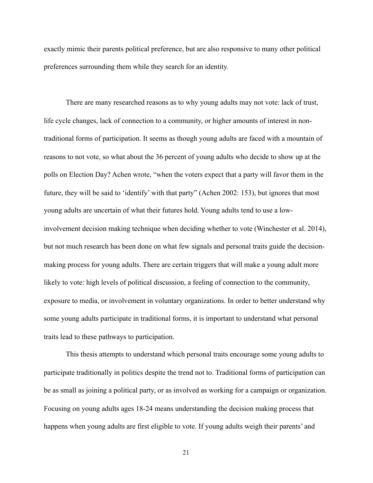exactly mimic their parents political preference, but are also responsive to many other political preferences surrounding them while they search for an identity.

 There are many researched reasons as to why young adults may not vote: lack of trust, life cycle changes, lack of connection to a community, or higher amounts of interest in nontraditional forms of participation. It seems as though young adults are faced with a mountain of reasons to not vote, so what about the 36 percent of young adults who decide to show up at the polls on Election Day? Achen wrote, "when the voters expect that a party will favor them in the future, they will be said to 'identify' with that party" (Achen 2002: 153), but ignores that most young adults are uncertain of what their futures hold. Young adults tend to use a lowinvolvement decision making technique when deciding whether to vote (Winchester et al. 2014), but not much research has been done on what few signals and personal traits guide the decisionmaking process for young adults. There are certain triggers that will make a young adult more likely to vote: high levels of political discussion, a feeling of connection to the community, exposure to media, or involvement in voluntary organizations. In order to better understand why some young adults participate in traditional forms, it is important to understand what personal traits lead to these pathways to participation.

 This thesis attempts to understand which personal traits encourage some young adults to participate traditionally in politics despite the trend not to. Traditional forms of participation can be as small as joining a political party, or as involved as working for a campaign or organization. Focusing on young adults ages 18-24 means understanding the decision making process that happens when young adults are first eligible to vote. If young adults weigh their parents' and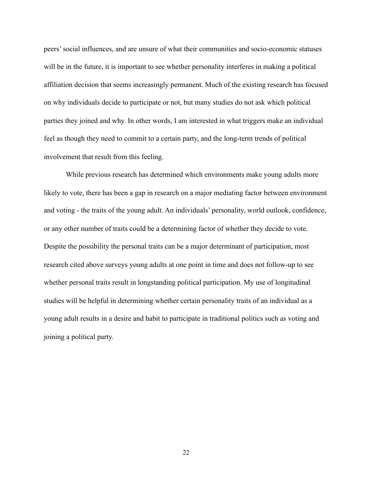peers' social influences, and are unsure of what their communities and socio-economic statuses will be in the future, it is important to see whether personality interferes in making a political affiliation decision that seems increasingly permanent. Much of the existing research has focused on why individuals decide to participate or not, but many studies do not ask which political parties they joined and why. In other words, I am interested in what triggers make an individual feel as though they need to commit to a certain party, and the long-term trends of political involvement that result from this feeling.

 While previous research has determined which environments make young adults more likely to vote, there has been a gap in research on a major mediating factor between environment and voting - the traits of the young adult. An individuals' personality, world outlook, confidence, or any other number of traits could be a determining factor of whether they decide to vote. Despite the possibility the personal traits can be a major determinant of participation, most research cited above surveys young adults at one point in time and does not follow-up to see whether personal traits result in longstanding political participation. My use of longitudinal studies will be helpful in determining whether certain personality traits of an individual as a young adult results in a desire and habit to participate in traditional politics such as voting and joining a political party.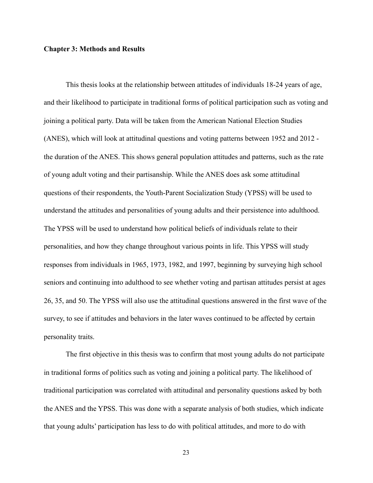## **Chapter 3: Methods and Results**

 This thesis looks at the relationship between attitudes of individuals 18-24 years of age, and their likelihood to participate in traditional forms of political participation such as voting and joining a political party. Data will be taken from the American National Election Studies (ANES), which will look at attitudinal questions and voting patterns between 1952 and 2012 the duration of the ANES. This shows general population attitudes and patterns, such as the rate of young adult voting and their partisanship. While the ANES does ask some attitudinal questions of their respondents, the Youth-Parent Socialization Study (YPSS) will be used to understand the attitudes and personalities of young adults and their persistence into adulthood. The YPSS will be used to understand how political beliefs of individuals relate to their personalities, and how they change throughout various points in life. This YPSS will study responses from individuals in 1965, 1973, 1982, and 1997, beginning by surveying high school seniors and continuing into adulthood to see whether voting and partisan attitudes persist at ages 26, 35, and 50. The YPSS will also use the attitudinal questions answered in the first wave of the survey, to see if attitudes and behaviors in the later waves continued to be affected by certain personality traits.

The first objective in this thesis was to confirm that most young adults do not participate in traditional forms of politics such as voting and joining a political party. The likelihood of traditional participation was correlated with attitudinal and personality questions asked by both the ANES and the YPSS. This was done with a separate analysis of both studies, which indicate that young adults' participation has less to do with political attitudes, and more to do with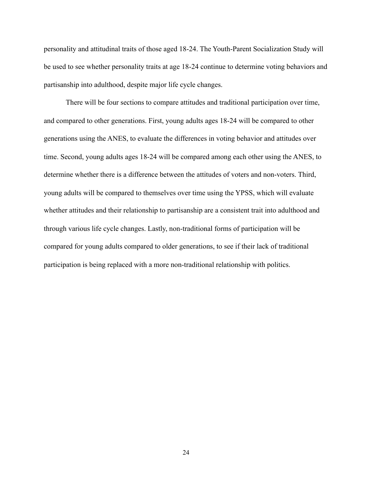personality and attitudinal traits of those aged 18-24. The Youth-Parent Socialization Study will be used to see whether personality traits at age 18-24 continue to determine voting behaviors and partisanship into adulthood, despite major life cycle changes.

 There will be four sections to compare attitudes and traditional participation over time, and compared to other generations. First, young adults ages 18-24 will be compared to other generations using the ANES, to evaluate the differences in voting behavior and attitudes over time. Second, young adults ages 18-24 will be compared among each other using the ANES, to determine whether there is a difference between the attitudes of voters and non-voters. Third, young adults will be compared to themselves over time using the YPSS, which will evaluate whether attitudes and their relationship to partisanship are a consistent trait into adulthood and through various life cycle changes. Lastly, non-traditional forms of participation will be compared for young adults compared to older generations, to see if their lack of traditional participation is being replaced with a more non-traditional relationship with politics.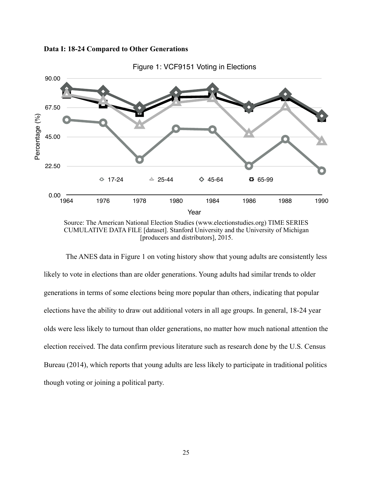





 The ANES data in Figure 1 on voting history show that young adults are consistently less likely to vote in elections than are older generations. Young adults had similar trends to older generations in terms of some elections being more popular than others, indicating that popular elections have the ability to draw out additional voters in all age groups. In general, 18-24 year olds were less likely to turnout than older generations, no matter how much national attention the election received. The data confirm previous literature such as research done by the U.S. Census Bureau (2014), which reports that young adults are less likely to participate in traditional politics though voting or joining a political party.

Source: The American National Election Studies ([www.electionstudies.org\)](http://www.electionstudies.org) TIME SERIES CUMULATIVE DATA FILE [dataset]. Stanford University and the University of Michigan [producers and distributors], 2015.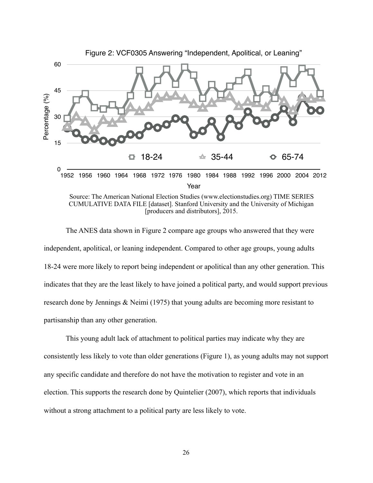

Source: The American National Election Studies [\(www.electionstudies.org](http://www.electionstudies.org)) TIME SERIES CUMULATIVE DATA FILE [dataset]. Stanford University and the University of Michigan [producers and distributors], 2015.

 The ANES data shown in Figure 2 compare age groups who answered that they were independent, apolitical, or leaning independent. Compared to other age groups, young adults 18-24 were more likely to report being independent or apolitical than any other generation. This indicates that they are the least likely to have joined a political party, and would support previous research done by Jennings & Neimi (1975) that young adults are becoming more resistant to partisanship than any other generation.

 This young adult lack of attachment to political parties may indicate why they are consistently less likely to vote than older generations (Figure 1), as young adults may not support any specific candidate and therefore do not have the motivation to register and vote in an election. This supports the research done by Quintelier (2007), which reports that individuals without a strong attachment to a political party are less likely to vote.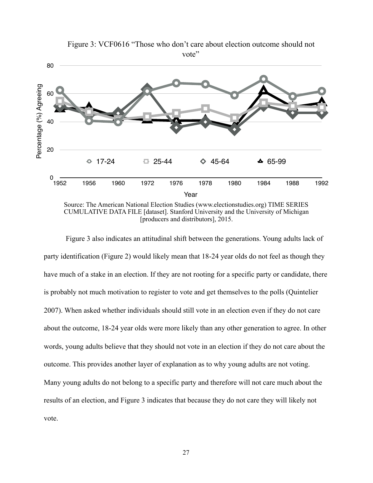

Figure 3: VCF0616 "Those who don't care about election outcome should not vote"

Source: The American National Election Studies ([www.electionstudies.org\)](http://www.electionstudies.org) TIME SERIES CUMULATIVE DATA FILE [dataset]. Stanford University and the University of Michigan [producers and distributors], 2015.

 Figure 3 also indicates an attitudinal shift between the generations. Young adults lack of party identification (Figure 2) would likely mean that 18-24 year olds do not feel as though they have much of a stake in an election. If they are not rooting for a specific party or candidate, there is probably not much motivation to register to vote and get themselves to the polls (Quintelier 2007). When asked whether individuals should still vote in an election even if they do not care about the outcome, 18-24 year olds were more likely than any other generation to agree. In other words, young adults believe that they should not vote in an election if they do not care about the outcome. This provides another layer of explanation as to why young adults are not voting. Many young adults do not belong to a specific party and therefore will not care much about the results of an election, and Figure 3 indicates that because they do not care they will likely not vote.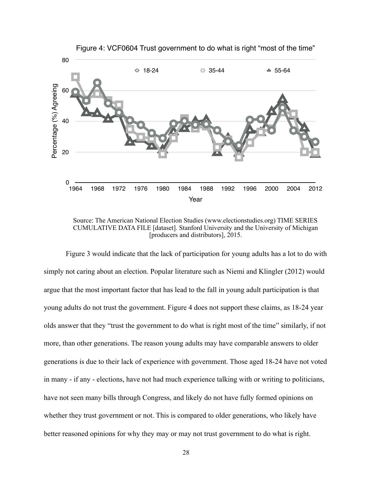

Source: The American National Election Studies [\(www.electionstudies.org\)](http://www.electionstudies.org) TIME SERIES CUMULATIVE DATA FILE [dataset]. Stanford University and the University of Michigan [producers and distributors], 2015.

 Figure 3 would indicate that the lack of participation for young adults has a lot to do with simply not caring about an election. Popular literature such as Niemi and Klingler (2012) would argue that the most important factor that has lead to the fall in young adult participation is that young adults do not trust the government. Figure 4 does not support these claims, as 18-24 year olds answer that they "trust the government to do what is right most of the time" similarly, if not more, than other generations. The reason young adults may have comparable answers to older generations is due to their lack of experience with government. Those aged 18-24 have not voted in many - if any - elections, have not had much experience talking with or writing to politicians, have not seen many bills through Congress, and likely do not have fully formed opinions on whether they trust government or not. This is compared to older generations, who likely have better reasoned opinions for why they may or may not trust government to do what is right.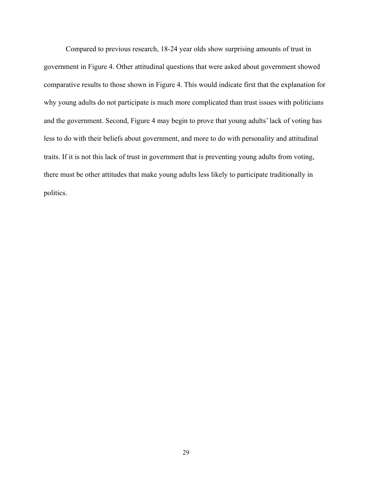Compared to previous research, 18-24 year olds show surprising amounts of trust in government in Figure 4. Other attitudinal questions that were asked about government showed comparative results to those shown in Figure 4. This would indicate first that the explanation for why young adults do not participate is much more complicated than trust issues with politicians and the government. Second, Figure 4 may begin to prove that young adults' lack of voting has less to do with their beliefs about government, and more to do with personality and attitudinal traits. If it is not this lack of trust in government that is preventing young adults from voting, there must be other attitudes that make young adults less likely to participate traditionally in politics.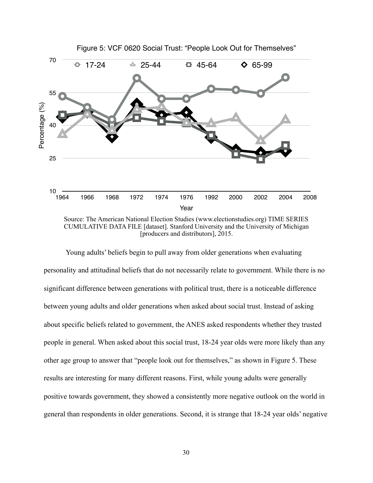

[producers and distributors], 2015.

 Young adults' beliefs begin to pull away from older generations when evaluating personality and attitudinal beliefs that do not necessarily relate to government. While there is no significant difference between generations with political trust, there is a noticeable difference between young adults and older generations when asked about social trust. Instead of asking about specific beliefs related to government, the ANES asked respondents whether they trusted people in general. When asked about this social trust, 18-24 year olds were more likely than any other age group to answer that "people look out for themselves," as shown in Figure 5. These results are interesting for many different reasons. First, while young adults were generally positive towards government, they showed a consistently more negative outlook on the world in general than respondents in older generations. Second, it is strange that 18-24 year olds' negative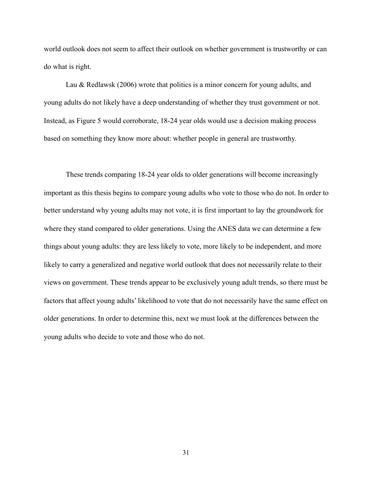world outlook does not seem to affect their outlook on whether government is trustworthy or can do what is right.

Lau & Redlawsk (2006) wrote that politics is a minor concern for young adults, and young adults do not likely have a deep understanding of whether they trust government or not. Instead, as Figure 5 would corroborate, 18-24 year olds would use a decision making process based on something they know more about: whether people in general are trustworthy.

 These trends comparing 18-24 year olds to older generations will become increasingly important as this thesis begins to compare young adults who vote to those who do not. In order to better understand why young adults may not vote, it is first important to lay the groundwork for where they stand compared to older generations. Using the ANES data we can determine a few things about young adults: they are less likely to vote, more likely to be independent, and more likely to carry a generalized and negative world outlook that does not necessarily relate to their views on government. These trends appear to be exclusively young adult trends, so there must be factors that affect young adults' likelihood to vote that do not necessarily have the same effect on older generations. In order to determine this, next we must look at the differences between the young adults who decide to vote and those who do not.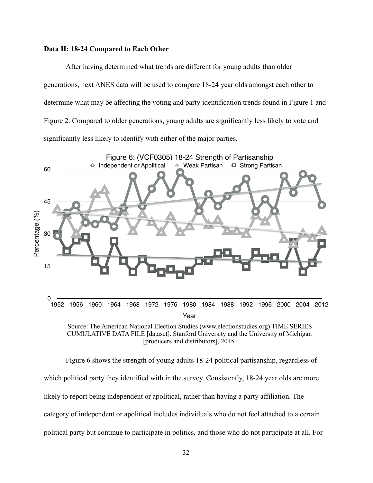## **Data II: 18-24 Compared to Each Other**

 After having determined what trends are different for young adults than older generations, next ANES data will be used to compare 18-24 year olds amongst each other to determine what may be affecting the voting and party identification trends found in Figure 1 and Figure 2. Compared to older generations, young adults are significantly less likely to vote and significantly less likely to identify with either of the major parties.



CUMULATIVE DATA FILE [dataset]. Stanford University and the University of Michigan [producers and distributors], 2015.

 Figure 6 shows the strength of young adults 18-24 political partisanship, regardless of which political party they identified with in the survey. Consistently, 18-24 year olds are more likely to report being independent or apolitical, rather than having a party affiliation. The category of independent or apolitical includes individuals who do not feel attached to a certain political party but continue to participate in politics, and those who do not participate at all. For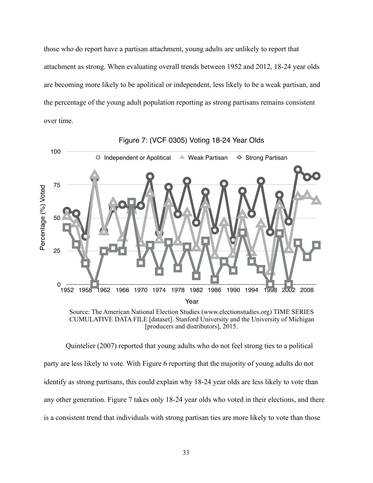those who do report have a partisan attachment, young adults are unlikely to report that attachment as strong. When evaluating overall trends between 1952 and 2012, 18-24 year olds are becoming more likely to be apolitical or independent, less likely to be a weak partisan, and the percentage of the young adult population reporting as strong partisans remains consistent over time.



Figure 7: (VCF 0305) Voting 18-24 Year Olds

CUMULATIVE DATA FILE [dataset]. Stanford University and the University of Michigan [producers and distributors], 2015.

 Quintelier (2007) reported that young adults who do not feel strong ties to a political party are less likely to vote. With Figure 6 reporting that the majority of young adults do not identify as strong partisans, this could explain why 18-24 year olds are less likely to vote than any other generation. Figure 7 takes only 18-24 year olds who voted in their elections, and there is a consistent trend that individuals with strong partisan ties are more likely to vote than those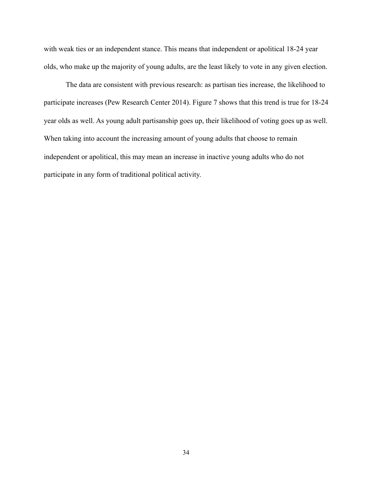with weak ties or an independent stance. This means that independent or apolitical 18-24 year olds, who make up the majority of young adults, are the least likely to vote in any given election.

 The data are consistent with previous research: as partisan ties increase, the likelihood to participate increases (Pew Research Center 2014). Figure 7 shows that this trend is true for 18-24 year olds as well. As young adult partisanship goes up, their likelihood of voting goes up as well. When taking into account the increasing amount of young adults that choose to remain independent or apolitical, this may mean an increase in inactive young adults who do not participate in any form of traditional political activity.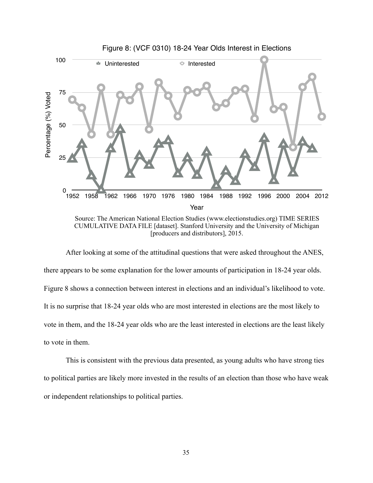

 After looking at some of the attitudinal questions that were asked throughout the ANES, there appears to be some explanation for the lower amounts of participation in 18-24 year olds. Figure 8 shows a connection between interest in elections and an individual's likelihood to vote.

It is no surprise that 18-24 year olds who are most interested in elections are the most likely to

vote in them, and the 18-24 year olds who are the least interested in elections are the least likely to vote in them.

 This is consistent with the previous data presented, as young adults who have strong ties to political parties are likely more invested in the results of an election than those who have weak or independent relationships to political parties.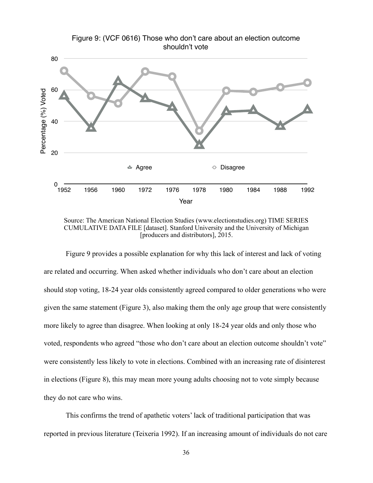

Source: The American National Election Studies ([www.electionstudies.org\)](http://www.electionstudies.org) TIME SERIES CUMULATIVE DATA FILE [dataset]. Stanford University and the University of Michigan [producers and distributors], 2015.

 Figure 9 provides a possible explanation for why this lack of interest and lack of voting are related and occurring. When asked whether individuals who don't care about an election should stop voting, 18-24 year olds consistently agreed compared to older generations who were given the same statement (Figure 3), also making them the only age group that were consistently more likely to agree than disagree. When looking at only 18-24 year olds and only those who voted, respondents who agreed "those who don't care about an election outcome shouldn't vote" were consistently less likely to vote in elections. Combined with an increasing rate of disinterest in elections (Figure 8), this may mean more young adults choosing not to vote simply because they do not care who wins.

 This confirms the trend of apathetic voters' lack of traditional participation that was reported in previous literature (Teixeria 1992). If an increasing amount of individuals do not care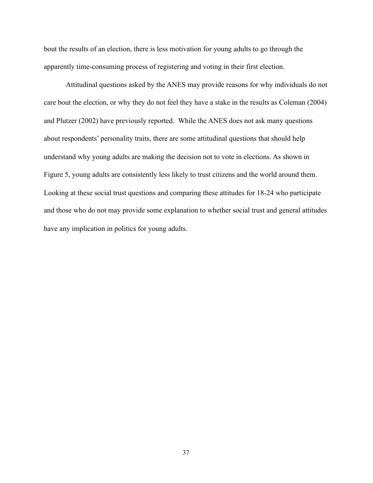bout the results of an election, there is less motivation for young adults to go through the apparently time-consuming process of registering and voting in their first election.

 Attitudinal questions asked by the ANES may provide reasons for why individuals do not care bout the election, or why they do not feel they have a stake in the results as Coleman (2004) and Plutzer (2002) have previously reported. While the ANES does not ask many questions about respondents' personality traits, there are some attitudinal questions that should help understand why young adults are making the decision not to vote in elections. As shown in Figure 5, young adults are consistently less likely to trust citizens and the world around them. Looking at these social trust questions and comparing these attitudes for 18-24 who participate and those who do not may provide some explanation to whether social trust and general attitudes have any implication in politics for young adults.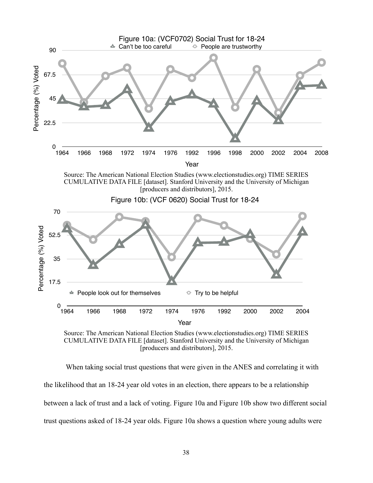

CUMULATIVE DATA FILE [dataset]. Stanford University and the University of Michigan [producers and distributors], 2015.

 When taking social trust questions that were given in the ANES and correlating it with the likelihood that an 18-24 year old votes in an election, there appears to be a relationship between a lack of trust and a lack of voting. Figure 10a and Figure 10b show two different social trust questions asked of 18-24 year olds. Figure 10a shows a question where young adults were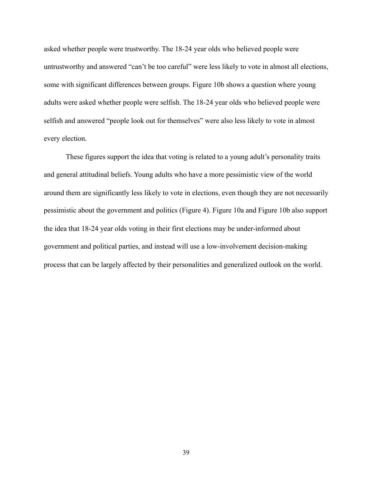asked whether people were trustworthy. The 18-24 year olds who believed people were untrustworthy and answered "can't be too careful" were less likely to vote in almost all elections, some with significant differences between groups. Figure 10b shows a question where young adults were asked whether people were selfish. The 18-24 year olds who believed people were selfish and answered "people look out for themselves" were also less likely to vote in almost every election.

 These figures support the idea that voting is related to a young adult's personality traits and general attitudinal beliefs. Young adults who have a more pessimistic view of the world around them are significantly less likely to vote in elections, even though they are not necessarily pessimistic about the government and politics (Figure 4). Figure 10a and Figure 10b also support the idea that 18-24 year olds voting in their first elections may be under-informed about government and political parties, and instead will use a low-involvement decision-making process that can be largely affected by their personalities and generalized outlook on the world.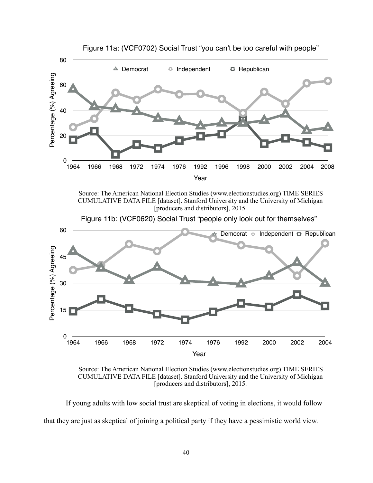

Source: The American National Election Studies [\(www.electionstudies.org](http://www.electionstudies.org)) TIME SERIES CUMULATIVE DATA FILE [dataset]. Stanford University and the University of Michigan [producers and distributors], 2015.



Figure 11b: (VCF0620) Social Trust "people only look out for themselves"

Source: The American National Election Studies [\(www.electionstudies.org](http://www.electionstudies.org)) TIME SERIES CUMULATIVE DATA FILE [dataset]. Stanford University and the University of Michigan [producers and distributors], 2015.

 If young adults with low social trust are skeptical of voting in elections, it would follow that they are just as skeptical of joining a political party if they have a pessimistic world view.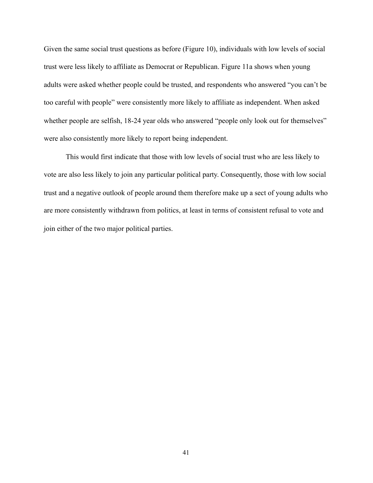Given the same social trust questions as before (Figure 10), individuals with low levels of social trust were less likely to affiliate as Democrat or Republican. Figure 11a shows when young adults were asked whether people could be trusted, and respondents who answered "you can't be too careful with people" were consistently more likely to affiliate as independent. When asked whether people are selfish, 18-24 year olds who answered "people only look out for themselves" were also consistently more likely to report being independent.

 This would first indicate that those with low levels of social trust who are less likely to vote are also less likely to join any particular political party. Consequently, those with low social trust and a negative outlook of people around them therefore make up a sect of young adults who are more consistently withdrawn from politics, at least in terms of consistent refusal to vote and join either of the two major political parties.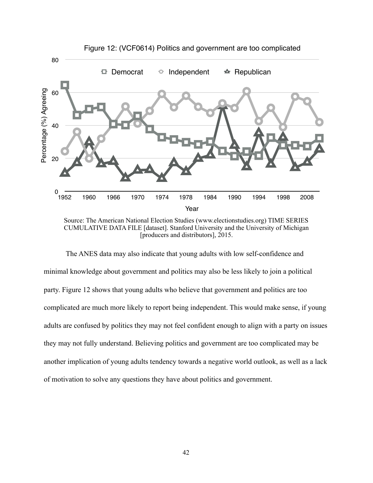

Source: The American National Election Studies ([www.electionstudies.org\)](http://www.electionstudies.org) TIME SERIES CUMULATIVE DATA FILE [dataset]. Stanford University and the University of Michigan [producers and distributors], 2015.

 The ANES data may also indicate that young adults with low self-confidence and minimal knowledge about government and politics may also be less likely to join a political party. Figure 12 shows that young adults who believe that government and politics are too complicated are much more likely to report being independent. This would make sense, if young adults are confused by politics they may not feel confident enough to align with a party on issues they may not fully understand. Believing politics and government are too complicated may be another implication of young adults tendency towards a negative world outlook, as well as a lack of motivation to solve any questions they have about politics and government.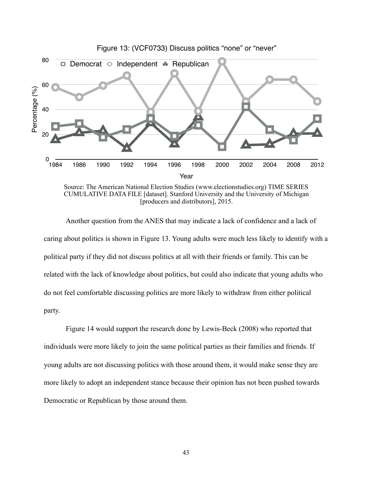

## Figure 13: (VCF0733) Discuss politics "none" or "never"

Source: The American National Election Studies ([www.electionstudies.org\)](http://www.electionstudies.org) TIME SERIES CUMULATIVE DATA FILE [dataset]. Stanford University and the University of Michigan [producers and distributors], 2015.

 Another question from the ANES that may indicate a lack of confidence and a lack of caring about politics is shown in Figure 13. Young adults were much less likely to identify with a political party if they did not discuss politics at all with their friends or family. This can be related with the lack of knowledge about politics, but could also indicate that young adults who do not feel comfortable discussing politics are more likely to withdraw from either political party.

 Figure 14 would support the research done by Lewis-Beck (2008) who reported that individuals were more likely to join the same political parties as their families and friends. If young adults are not discussing politics with those around them, it would make sense they are more likely to adopt an independent stance because their opinion has not been pushed towards Democratic or Republican by those around them.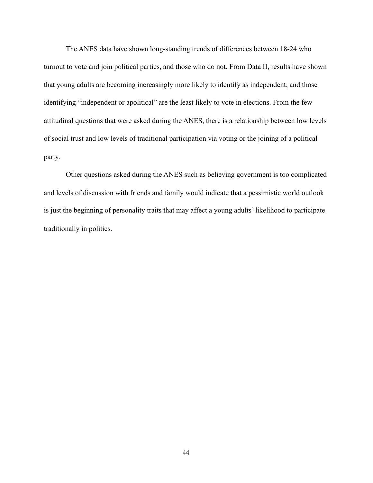The ANES data have shown long-standing trends of differences between 18-24 who turnout to vote and join political parties, and those who do not. From Data II, results have shown that young adults are becoming increasingly more likely to identify as independent, and those identifying "independent or apolitical" are the least likely to vote in elections. From the few attitudinal questions that were asked during the ANES, there is a relationship between low levels of social trust and low levels of traditional participation via voting or the joining of a political party.

 Other questions asked during the ANES such as believing government is too complicated and levels of discussion with friends and family would indicate that a pessimistic world outlook is just the beginning of personality traits that may affect a young adults' likelihood to participate traditionally in politics.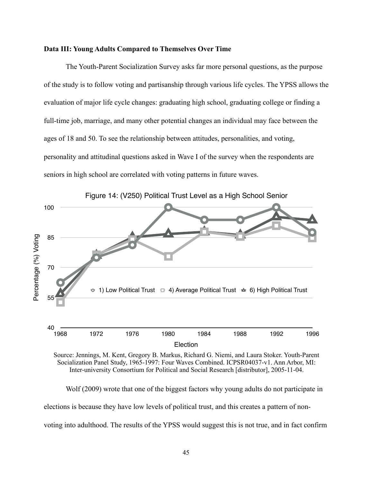## **Data III: Young Adults Compared to Themselves Over Time**

 The Youth-Parent Socialization Survey asks far more personal questions, as the purpose of the study is to follow voting and partisanship through various life cycles. The YPSS allows the evaluation of major life cycle changes: graduating high school, graduating college or finding a full-time job, marriage, and many other potential changes an individual may face between the ages of 18 and 50. To see the relationship between attitudes, personalities, and voting, personality and attitudinal questions asked in Wave I of the survey when the respondents are seniors in high school are correlated with voting patterns in future waves.



Source: Jennings, M. Kent, Gregory B. Markus, Richard G. Niemi, and Laura Stoker. Youth-Parent Socialization Panel Study, 1965-1997: Four Waves Combined. ICPSR04037-v1. Ann Arbor, MI: Inter-university Consortium for Political and Social Research [distributor], 2005-11-04.

 Wolf (2009) wrote that one of the biggest factors why young adults do not participate in elections is because they have low levels of political trust, and this creates a pattern of nonvoting into adulthood. The results of the YPSS would suggest this is not true, and in fact confirm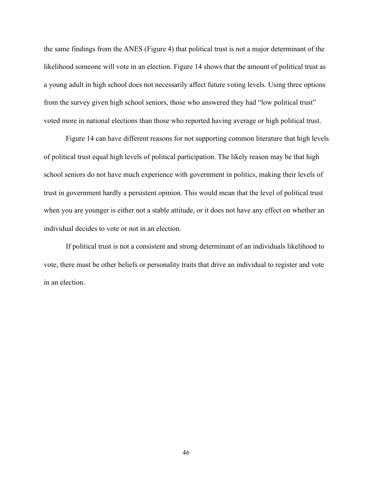the same findings from the ANES (Figure 4) that political trust is not a major determinant of the likelihood someone will vote in an election. Figure 14 shows that the amount of political trust as a young adult in high school does not necessarily affect future voting levels. Using three options from the survey given high school seniors, those who answered they had "low political trust" voted more in national elections than those who reported having average or high political trust.

 Figure 14 can have different reasons for not supporting common literature that high levels of political trust equal high levels of political participation. The likely reason may be that high school seniors do not have much experience with government in politics, making their levels of trust in government hardly a persistent opinion. This would mean that the level of political trust when you are younger is either not a stable attitude, or it does not have any effect on whether an individual decides to vote or not in an election.

 If political trust is not a consistent and strong determinant of an individuals likelihood to vote, there must be other beliefs or personality traits that drive an individual to register and vote in an election.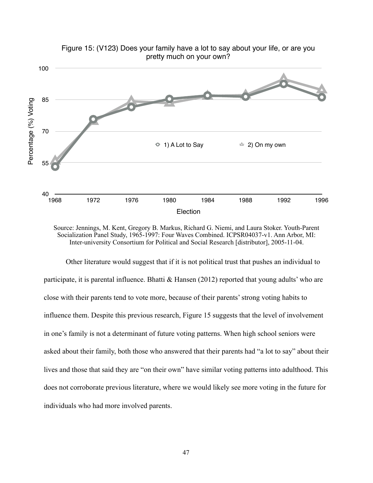

Figure 15: (V123) Does your family have a lot to say about your life, or are you pretty much on your own?

 Other literature would suggest that if it is not political trust that pushes an individual to participate, it is parental influence. Bhatti  $\&$  Hansen (2012) reported that young adults' who are close with their parents tend to vote more, because of their parents' strong voting habits to influence them. Despite this previous research, Figure 15 suggests that the level of involvement in one's family is not a determinant of future voting patterns. When high school seniors were asked about their family, both those who answered that their parents had "a lot to say" about their lives and those that said they are "on their own" have similar voting patterns into adulthood. This does not corroborate previous literature, where we would likely see more voting in the future for individuals who had more involved parents.

Source: Jennings, M. Kent, Gregory B. Markus, Richard G. Niemi, and Laura Stoker. Youth-Parent Socialization Panel Study, 1965-1997: Four Waves Combined. ICPSR04037-v1. Ann Arbor, MI: Inter-university Consortium for Political and Social Research [distributor], 2005-11-04.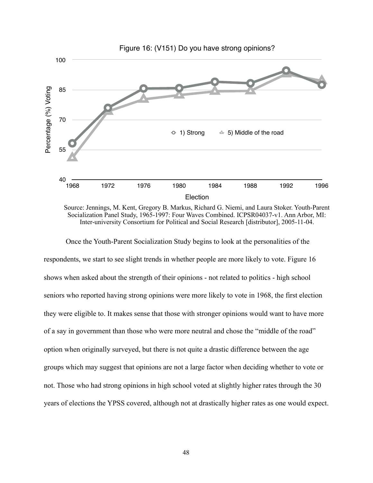

Source: Jennings, M. Kent, Gregory B. Markus, Richard G. Niemi, and Laura Stoker. Youth-Parent Socialization Panel Study, 1965-1997: Four Waves Combined. ICPSR04037-v1. Ann Arbor, MI: Inter-university Consortium for Political and Social Research [distributor], 2005-11-04.

 Once the Youth-Parent Socialization Study begins to look at the personalities of the respondents, we start to see slight trends in whether people are more likely to vote. Figure 16 shows when asked about the strength of their opinions - not related to politics - high school seniors who reported having strong opinions were more likely to vote in 1968, the first election they were eligible to. It makes sense that those with stronger opinions would want to have more of a say in government than those who were more neutral and chose the "middle of the road" option when originally surveyed, but there is not quite a drastic difference between the age groups which may suggest that opinions are not a large factor when deciding whether to vote or not. Those who had strong opinions in high school voted at slightly higher rates through the 30 years of elections the YPSS covered, although not at drastically higher rates as one would expect.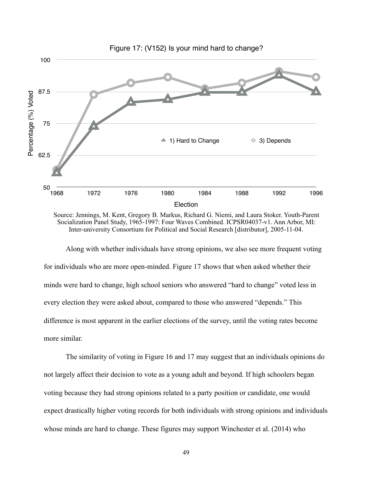

Source: Jennings, M. Kent, Gregory B. Markus, Richard G. Niemi, and Laura Stoker. Youth-Parent Socialization Panel Study, 1965-1997: Four Waves Combined. ICPSR04037-v1. Ann Arbor, MI: Inter-university Consortium for Political and Social Research [distributor], 2005-11-04.

 Along with whether individuals have strong opinions, we also see more frequent voting for individuals who are more open-minded. Figure 17 shows that when asked whether their minds were hard to change, high school seniors who answered "hard to change" voted less in every election they were asked about, compared to those who answered "depends." This difference is most apparent in the earlier elections of the survey, until the voting rates become more similar.

 The similarity of voting in Figure 16 and 17 may suggest that an individuals opinions do not largely affect their decision to vote as a young adult and beyond. If high schoolers began voting because they had strong opinions related to a party position or candidate, one would expect drastically higher voting records for both individuals with strong opinions and individuals whose minds are hard to change. These figures may support Winchester et al. (2014) who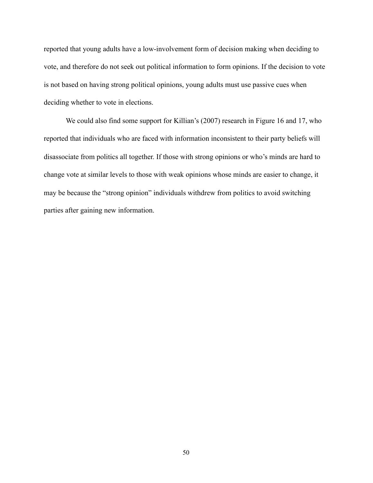reported that young adults have a low-involvement form of decision making when deciding to vote, and therefore do not seek out political information to form opinions. If the decision to vote is not based on having strong political opinions, young adults must use passive cues when deciding whether to vote in elections.

We could also find some support for Killian's (2007) research in Figure 16 and 17, who reported that individuals who are faced with information inconsistent to their party beliefs will disassociate from politics all together. If those with strong opinions or who's minds are hard to change vote at similar levels to those with weak opinions whose minds are easier to change, it may be because the "strong opinion" individuals withdrew from politics to avoid switching parties after gaining new information.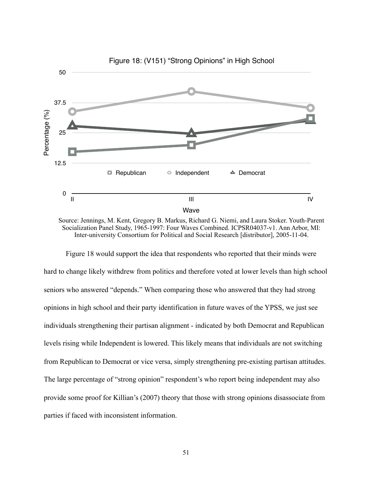

Source: Jennings, M. Kent, Gregory B. Markus, Richard G. Niemi, and Laura Stoker. Youth-Parent Socialization Panel Study, 1965-1997: Four Waves Combined. ICPSR04037-v1. Ann Arbor, MI: Inter-university Consortium for Political and Social Research [distributor], 2005-11-04.

 Figure 18 would support the idea that respondents who reported that their minds were hard to change likely withdrew from politics and therefore voted at lower levels than high school seniors who answered "depends." When comparing those who answered that they had strong opinions in high school and their party identification in future waves of the YPSS, we just see individuals strengthening their partisan alignment - indicated by both Democrat and Republican levels rising while Independent is lowered. This likely means that individuals are not switching from Republican to Democrat or vice versa, simply strengthening pre-existing partisan attitudes. The large percentage of "strong opinion" respondent's who report being independent may also provide some proof for Killian's (2007) theory that those with strong opinions disassociate from parties if faced with inconsistent information.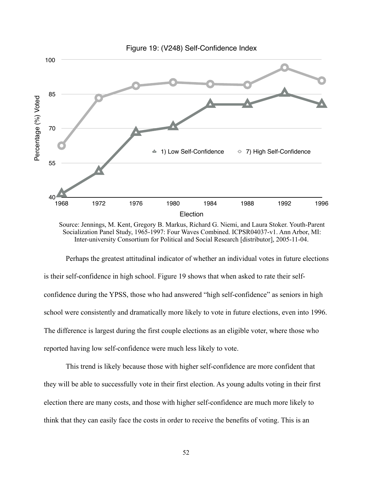

Source: Jennings, M. Kent, Gregory B. Markus, Richard G. Niemi, and Laura Stoker. Youth-Parent Socialization Panel Study, 1965-1997: Four Waves Combined. ICPSR04037-v1. Ann Arbor, MI: Inter-university Consortium for Political and Social Research [distributor], 2005-11-04.

 Perhaps the greatest attitudinal indicator of whether an individual votes in future elections is their self-confidence in high school. Figure 19 shows that when asked to rate their selfconfidence during the YPSS, those who had answered "high self-confidence" as seniors in high school were consistently and dramatically more likely to vote in future elections, even into 1996. The difference is largest during the first couple elections as an eligible voter, where those who reported having low self-confidence were much less likely to vote.

 This trend is likely because those with higher self-confidence are more confident that they will be able to successfully vote in their first election. As young adults voting in their first election there are many costs, and those with higher self-confidence are much more likely to think that they can easily face the costs in order to receive the benefits of voting. This is an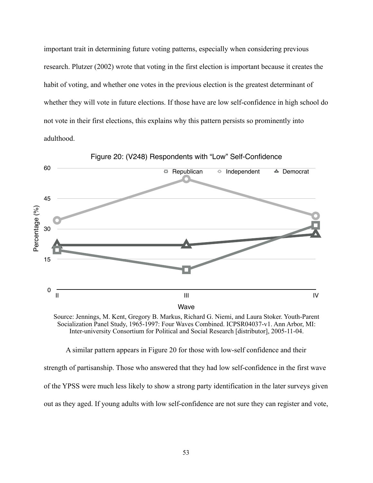important trait in determining future voting patterns, especially when considering previous research. Plutzer (2002) wrote that voting in the first election is important because it creates the habit of voting, and whether one votes in the previous election is the greatest determinant of whether they will vote in future elections. If those have are low self-confidence in high school do not vote in their first elections, this explains why this pattern persists so prominently into adulthood.



Figure 20: (V248) Respondents with "Low" Self-Confidence

Source: Jennings, M. Kent, Gregory B. Markus, Richard G. Niemi, and Laura Stoker. Youth-Parent Socialization Panel Study, 1965-1997: Four Waves Combined. ICPSR04037-v1. Ann Arbor, MI: Inter-university Consortium for Political and Social Research [distributor], 2005-11-04.

 A similar pattern appears in Figure 20 for those with low-self confidence and their strength of partisanship. Those who answered that they had low self-confidence in the first wave of the YPSS were much less likely to show a strong party identification in the later surveys given out as they aged. If young adults with low self-confidence are not sure they can register and vote,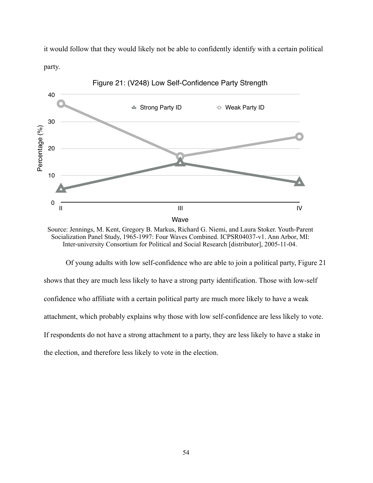it would follow that they would likely not be able to confidently identify with a certain political party.



Source: Jennings, M. Kent, Gregory B. Markus, Richard G. Niemi, and Laura Stoker. Youth-Parent Socialization Panel Study, 1965-1997: Four Waves Combined. ICPSR04037-v1. Ann Arbor, MI: Inter-university Consortium for Political and Social Research [distributor], 2005-11-04.

 Of young adults with low self-confidence who are able to join a political party, Figure 21 shows that they are much less likely to have a strong party identification. Those with low-self confidence who affiliate with a certain political party are much more likely to have a weak attachment, which probably explains why those with low self-confidence are less likely to vote. If respondents do not have a strong attachment to a party, they are less likely to have a stake in the election, and therefore less likely to vote in the election.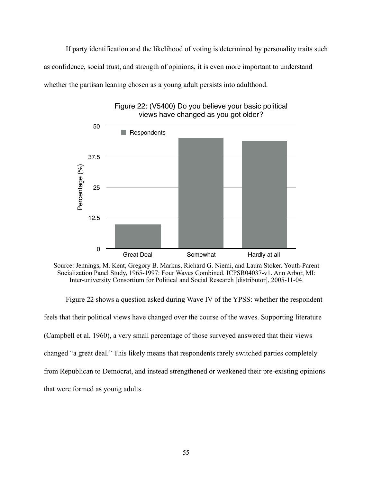If party identification and the likelihood of voting is determined by personality traits such as confidence, social trust, and strength of opinions, it is even more important to understand whether the partisan leaning chosen as a young adult persists into adulthood.



Figure 22: (V5400) Do you believe your basic political views have changed as you got older?

Source: Jennings, M. Kent, Gregory B. Markus, Richard G. Niemi, and Laura Stoker. Youth-Parent Socialization Panel Study, 1965-1997: Four Waves Combined. ICPSR04037-v1. Ann Arbor, MI: Inter-university Consortium for Political and Social Research [distributor], 2005-11-04.

 Figure 22 shows a question asked during Wave IV of the YPSS: whether the respondent feels that their political views have changed over the course of the waves. Supporting literature (Campbell et al. 1960), a very small percentage of those surveyed answered that their views changed "a great deal." This likely means that respondents rarely switched parties completely from Republican to Democrat, and instead strengthened or weakened their pre-existing opinions that were formed as young adults.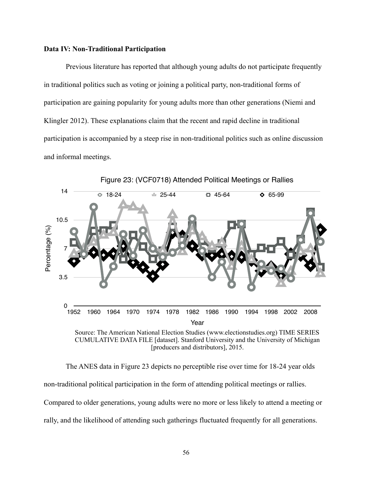## **Data IV: Non-Traditional Participation**

 Previous literature has reported that although young adults do not participate frequently in traditional politics such as voting or joining a political party, non-traditional forms of participation are gaining popularity for young adults more than other generations (Niemi and Klingler 2012). These explanations claim that the recent and rapid decline in traditional participation is accompanied by a steep rise in non-traditional politics such as online discussion and informal meetings.



Figure 23: (VCF0718) Attended Political Meetings or Rallies

CUMULATIVE DATA FILE [dataset]. Stanford University and the University of Michigan [producers and distributors], 2015.

 The ANES data in Figure 23 depicts no perceptible rise over time for 18-24 year olds non-traditional political participation in the form of attending political meetings or rallies. Compared to older generations, young adults were no more or less likely to attend a meeting or rally, and the likelihood of attending such gatherings fluctuated frequently for all generations.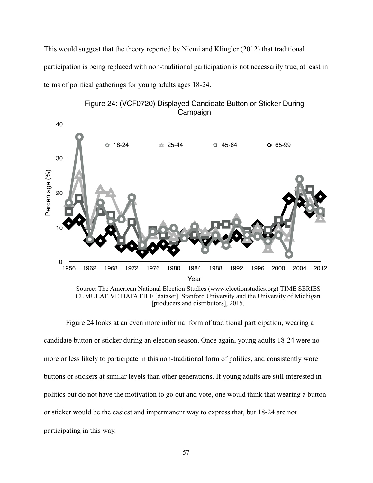This would suggest that the theory reported by Niemi and Klingler (2012) that traditional participation is being replaced with non-traditional participation is not necessarily true, at least in terms of political gatherings for young adults ages 18-24.





buttons or stickers at similar levels than other generations. If young adults are still interested in

politics but do not have the motivation to go out and vote, one would think that wearing a button

or sticker would be the easiest and impermanent way to express that, but 18-24 are not

participating in this way.

Figure 24 looks at an even more informal form of traditional participation, wearing a candidate button or sticker during an election season. Once again, young adults 18-24 were no more or less likely to participate in this non-traditional form of politics, and consistently wore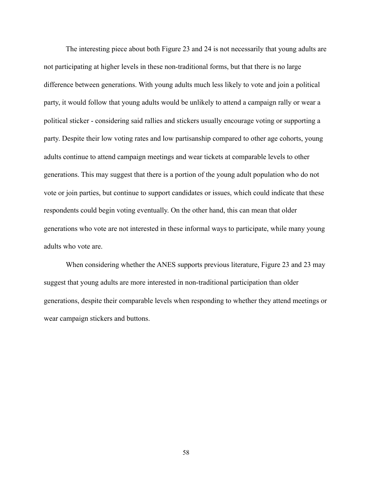The interesting piece about both Figure 23 and 24 is not necessarily that young adults are not participating at higher levels in these non-traditional forms, but that there is no large difference between generations. With young adults much less likely to vote and join a political party, it would follow that young adults would be unlikely to attend a campaign rally or wear a political sticker - considering said rallies and stickers usually encourage voting or supporting a party. Despite their low voting rates and low partisanship compared to other age cohorts, young adults continue to attend campaign meetings and wear tickets at comparable levels to other generations. This may suggest that there is a portion of the young adult population who do not vote or join parties, but continue to support candidates or issues, which could indicate that these respondents could begin voting eventually. On the other hand, this can mean that older generations who vote are not interested in these informal ways to participate, while many young adults who vote are.

 When considering whether the ANES supports previous literature, Figure 23 and 23 may suggest that young adults are more interested in non-traditional participation than older generations, despite their comparable levels when responding to whether they attend meetings or wear campaign stickers and buttons.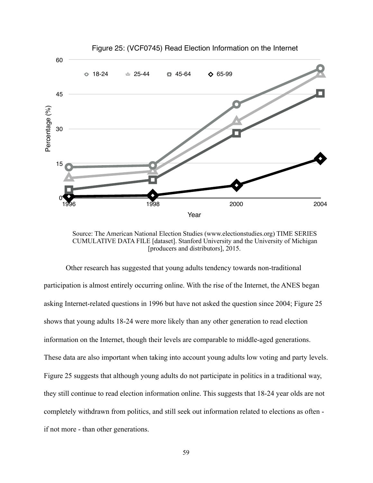

Source: The American National Election Studies [\(www.electionstudies.org\)](http://www.electionstudies.org) TIME SERIES CUMULATIVE DATA FILE [dataset]. Stanford University and the University of Michigan [producers and distributors], 2015.

 Other research has suggested that young adults tendency towards non-traditional participation is almost entirely occurring online. With the rise of the Internet, the ANES began asking Internet-related questions in 1996 but have not asked the question since 2004; Figure 25 shows that young adults 18-24 were more likely than any other generation to read election information on the Internet, though their levels are comparable to middle-aged generations. These data are also important when taking into account young adults low voting and party levels. Figure 25 suggests that although young adults do not participate in politics in a traditional way, they still continue to read election information online. This suggests that 18-24 year olds are not completely withdrawn from politics, and still seek out information related to elections as often if not more - than other generations.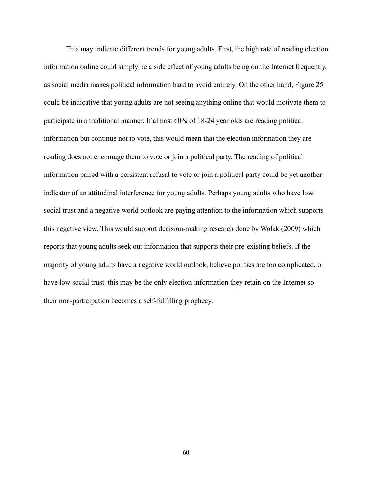This may indicate different trends for young adults. First, the high rate of reading election information online could simply be a side effect of young adults being on the Internet frequently, as social media makes political information hard to avoid entirely. On the other hand, Figure 25 could be indicative that young adults are not seeing anything online that would motivate them to participate in a traditional manner. If almost 60% of 18-24 year olds are reading political information but continue not to vote, this would mean that the election information they are reading does not encourage them to vote or join a political party. The reading of political information paired with a persistent refusal to vote or join a political party could be yet another indicator of an attitudinal interference for young adults. Perhaps young adults who have low social trust and a negative world outlook are paying attention to the information which supports this negative view. This would support decision-making research done by Wolak (2009) which reports that young adults seek out information that supports their pre-existing beliefs. If the majority of young adults have a negative world outlook, believe politics are too complicated, or have low social trust, this may be the only election information they retain on the Internet so their non-participation becomes a self-fulfilling prophecy.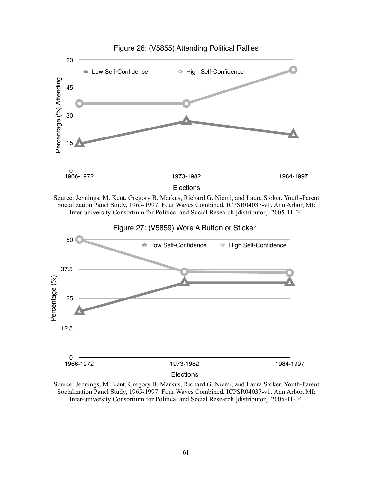

Source: Jennings, M. Kent, Gregory B. Markus, Richard G. Niemi, and Laura Stoker. Youth-Parent Socialization Panel Study, 1965-1997: Four Waves Combined. ICPSR04037-v1. Ann Arbor, MI: Inter-university Consortium for Political and Social Research [distributor], 2005-11-04.



Source: Jennings, M. Kent, Gregory B. Markus, Richard G. Niemi, and Laura Stoker. Youth-Parent Socialization Panel Study, 1965-1997: Four Waves Combined. ICPSR04037-v1. Ann Arbor, MI: Inter-university Consortium for Political and Social Research [distributor], 2005-11-04.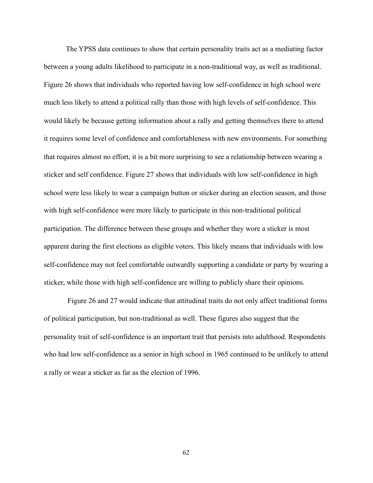The YPSS data continues to show that certain personality traits act as a mediating factor between a young adults likelihood to participate in a non-traditional way, as well as traditional. Figure 26 shows that individuals who reported having low self-confidence in high school were much less likely to attend a political rally than those with high levels of self-confidence. This would likely be because getting information about a rally and getting themselves there to attend it requires some level of confidence and comfortableness with new environments. For something that requires almost no effort, it is a bit more surprising to see a relationship between wearing a sticker and self confidence. Figure 27 shows that individuals with low self-confidence in high school were less likely to wear a campaign button or sticker during an election season, and those with high self-confidence were more likely to participate in this non-traditional political participation. The difference between these groups and whether they wore a sticker is most apparent during the first elections as eligible voters. This likely means that individuals with low self-confidence may not feel comfortable outwardly supporting a candidate or party by wearing a sticker, while those with high self-confidence are willing to publicly share their opinions.

 Figure 26 and 27 would indicate that attitudinal traits do not only affect traditional forms of political participation, but non-traditional as well. These figures also suggest that the personality trait of self-confidence is an important trait that persists into adulthood. Respondents who had low self-confidence as a senior in high school in 1965 continued to be unlikely to attend a rally or wear a sticker as far as the election of 1996.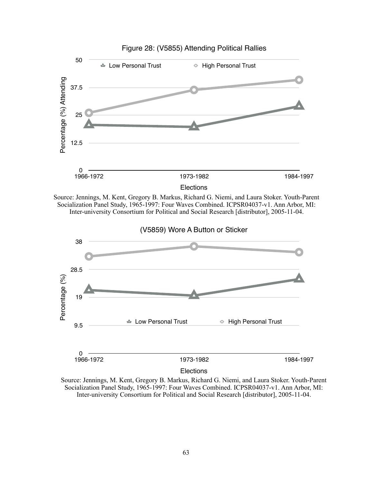

Source: Jennings, M. Kent, Gregory B. Markus, Richard G. Niemi, and Laura Stoker. Youth-Parent Socialization Panel Study, 1965-1997: Four Waves Combined. ICPSR04037-v1. Ann Arbor, MI: Inter-university Consortium for Political and Social Research [distributor], 2005-11-04.



Source: Jennings, M. Kent, Gregory B. Markus, Richard G. Niemi, and Laura Stoker. Youth-Parent Socialization Panel Study, 1965-1997: Four Waves Combined. ICPSR04037-v1. Ann Arbor, MI: Inter-university Consortium for Political and Social Research [distributor], 2005-11-04.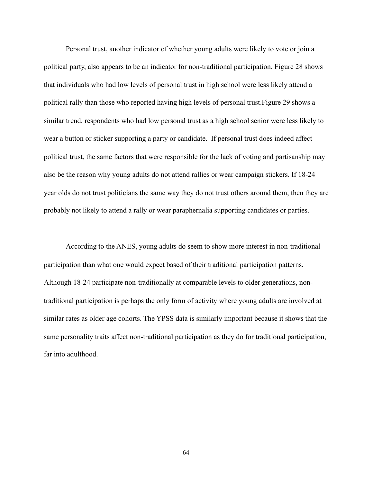Personal trust, another indicator of whether young adults were likely to vote or join a political party, also appears to be an indicator for non-traditional participation. Figure 28 shows that individuals who had low levels of personal trust in high school were less likely attend a political rally than those who reported having high levels of personal trust.Figure 29 shows a similar trend, respondents who had low personal trust as a high school senior were less likely to wear a button or sticker supporting a party or candidate. If personal trust does indeed affect political trust, the same factors that were responsible for the lack of voting and partisanship may also be the reason why young adults do not attend rallies or wear campaign stickers. If 18-24 year olds do not trust politicians the same way they do not trust others around them, then they are probably not likely to attend a rally or wear paraphernalia supporting candidates or parties.

 According to the ANES, young adults do seem to show more interest in non-traditional participation than what one would expect based of their traditional participation patterns. Although 18-24 participate non-traditionally at comparable levels to older generations, nontraditional participation is perhaps the only form of activity where young adults are involved at similar rates as older age cohorts. The YPSS data is similarly important because it shows that the same personality traits affect non-traditional participation as they do for traditional participation, far into adulthood.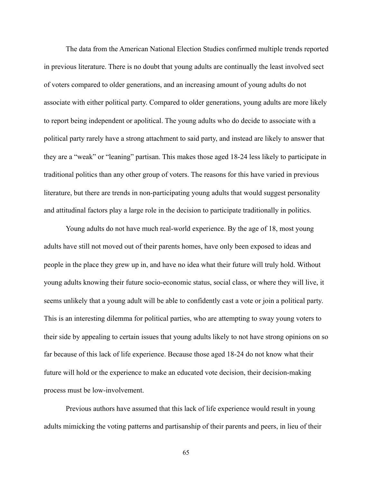The data from the American National Election Studies confirmed multiple trends reported in previous literature. There is no doubt that young adults are continually the least involved sect of voters compared to older generations, and an increasing amount of young adults do not associate with either political party. Compared to older generations, young adults are more likely to report being independent or apolitical. The young adults who do decide to associate with a political party rarely have a strong attachment to said party, and instead are likely to answer that they are a "weak" or "leaning" partisan. This makes those aged 18-24 less likely to participate in traditional politics than any other group of voters. The reasons for this have varied in previous literature, but there are trends in non-participating young adults that would suggest personality and attitudinal factors play a large role in the decision to participate traditionally in politics.

 Young adults do not have much real-world experience. By the age of 18, most young adults have still not moved out of their parents homes, have only been exposed to ideas and people in the place they grew up in, and have no idea what their future will truly hold. Without young adults knowing their future socio-economic status, social class, or where they will live, it seems unlikely that a young adult will be able to confidently cast a vote or join a political party. This is an interesting dilemma for political parties, who are attempting to sway young voters to their side by appealing to certain issues that young adults likely to not have strong opinions on so far because of this lack of life experience. Because those aged 18-24 do not know what their future will hold or the experience to make an educated vote decision, their decision-making process must be low-involvement.

 Previous authors have assumed that this lack of life experience would result in young adults mimicking the voting patterns and partisanship of their parents and peers, in lieu of their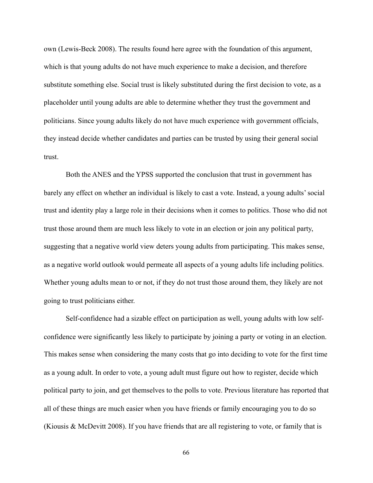own (Lewis-Beck 2008). The results found here agree with the foundation of this argument, which is that young adults do not have much experience to make a decision, and therefore substitute something else. Social trust is likely substituted during the first decision to vote, as a placeholder until young adults are able to determine whether they trust the government and politicians. Since young adults likely do not have much experience with government officials, they instead decide whether candidates and parties can be trusted by using their general social trust.

 Both the ANES and the YPSS supported the conclusion that trust in government has barely any effect on whether an individual is likely to cast a vote. Instead, a young adults' social trust and identity play a large role in their decisions when it comes to politics. Those who did not trust those around them are much less likely to vote in an election or join any political party, suggesting that a negative world view deters young adults from participating. This makes sense, as a negative world outlook would permeate all aspects of a young adults life including politics. Whether young adults mean to or not, if they do not trust those around them, they likely are not going to trust politicians either.

 Self-confidence had a sizable effect on participation as well, young adults with low selfconfidence were significantly less likely to participate by joining a party or voting in an election. This makes sense when considering the many costs that go into deciding to vote for the first time as a young adult. In order to vote, a young adult must figure out how to register, decide which political party to join, and get themselves to the polls to vote. Previous literature has reported that all of these things are much easier when you have friends or family encouraging you to do so (Kiousis & McDevitt 2008). If you have friends that are all registering to vote, or family that is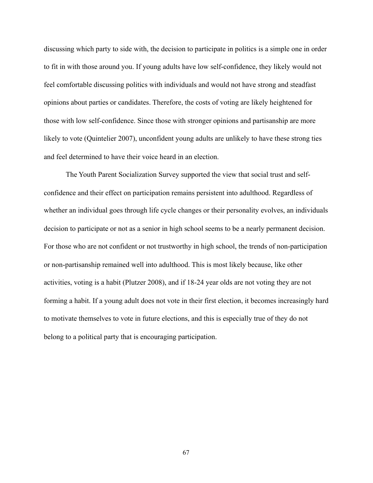discussing which party to side with, the decision to participate in politics is a simple one in order to fit in with those around you. If young adults have low self-confidence, they likely would not feel comfortable discussing politics with individuals and would not have strong and steadfast opinions about parties or candidates. Therefore, the costs of voting are likely heightened for those with low self-confidence. Since those with stronger opinions and partisanship are more likely to vote (Quintelier 2007), unconfident young adults are unlikely to have these strong ties and feel determined to have their voice heard in an election.

 The Youth Parent Socialization Survey supported the view that social trust and selfconfidence and their effect on participation remains persistent into adulthood. Regardless of whether an individual goes through life cycle changes or their personality evolves, an individuals decision to participate or not as a senior in high school seems to be a nearly permanent decision. For those who are not confident or not trustworthy in high school, the trends of non-participation or non-partisanship remained well into adulthood. This is most likely because, like other activities, voting is a habit (Plutzer 2008), and if 18-24 year olds are not voting they are not forming a habit. If a young adult does not vote in their first election, it becomes increasingly hard to motivate themselves to vote in future elections, and this is especially true of they do not belong to a political party that is encouraging participation.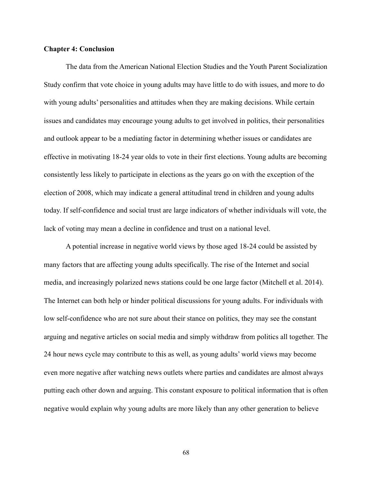## **Chapter 4: Conclusion**

 The data from the American National Election Studies and the Youth Parent Socialization Study confirm that vote choice in young adults may have little to do with issues, and more to do with young adults' personalities and attitudes when they are making decisions. While certain issues and candidates may encourage young adults to get involved in politics, their personalities and outlook appear to be a mediating factor in determining whether issues or candidates are effective in motivating 18-24 year olds to vote in their first elections. Young adults are becoming consistently less likely to participate in elections as the years go on with the exception of the election of 2008, which may indicate a general attitudinal trend in children and young adults today. If self-confidence and social trust are large indicators of whether individuals will vote, the lack of voting may mean a decline in confidence and trust on a national level.

 A potential increase in negative world views by those aged 18-24 could be assisted by many factors that are affecting young adults specifically. The rise of the Internet and social media, and increasingly polarized news stations could be one large factor (Mitchell et al. 2014). The Internet can both help or hinder political discussions for young adults. For individuals with low self-confidence who are not sure about their stance on politics, they may see the constant arguing and negative articles on social media and simply withdraw from politics all together. The 24 hour news cycle may contribute to this as well, as young adults' world views may become even more negative after watching news outlets where parties and candidates are almost always putting each other down and arguing. This constant exposure to political information that is often negative would explain why young adults are more likely than any other generation to believe

68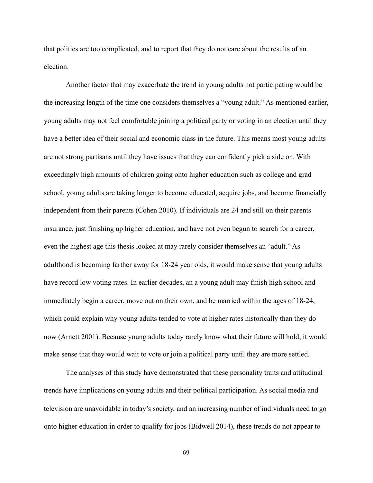that politics are too complicated, and to report that they do not care about the results of an election.

 Another factor that may exacerbate the trend in young adults not participating would be the increasing length of the time one considers themselves a "young adult." As mentioned earlier, young adults may not feel comfortable joining a political party or voting in an election until they have a better idea of their social and economic class in the future. This means most young adults are not strong partisans until they have issues that they can confidently pick a side on. With exceedingly high amounts of children going onto higher education such as college and grad school, young adults are taking longer to become educated, acquire jobs, and become financially independent from their parents (Cohen 2010). If individuals are 24 and still on their parents insurance, just finishing up higher education, and have not even begun to search for a career, even the highest age this thesis looked at may rarely consider themselves an "adult." As adulthood is becoming farther away for 18-24 year olds, it would make sense that young adults have record low voting rates. In earlier decades, an a young adult may finish high school and immediately begin a career, move out on their own, and be married within the ages of 18-24, which could explain why young adults tended to vote at higher rates historically than they do now (Arnett 2001). Because young adults today rarely know what their future will hold, it would make sense that they would wait to vote or join a political party until they are more settled.

 The analyses of this study have demonstrated that these personality traits and attitudinal trends have implications on young adults and their political participation. As social media and television are unavoidable in today's society, and an increasing number of individuals need to go onto higher education in order to qualify for jobs (Bidwell 2014), these trends do not appear to

69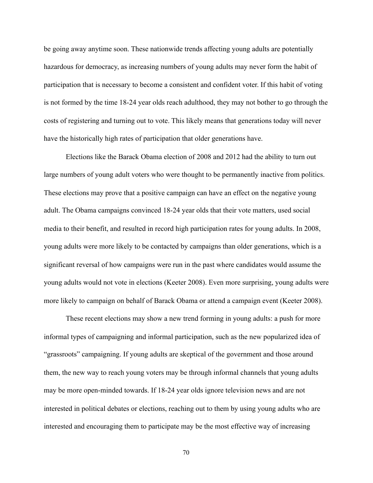be going away anytime soon. These nationwide trends affecting young adults are potentially hazardous for democracy, as increasing numbers of young adults may never form the habit of participation that is necessary to become a consistent and confident voter. If this habit of voting is not formed by the time 18-24 year olds reach adulthood, they may not bother to go through the costs of registering and turning out to vote. This likely means that generations today will never have the historically high rates of participation that older generations have.

 Elections like the Barack Obama election of 2008 and 2012 had the ability to turn out large numbers of young adult voters who were thought to be permanently inactive from politics. These elections may prove that a positive campaign can have an effect on the negative young adult. The Obama campaigns convinced 18-24 year olds that their vote matters, used social media to their benefit, and resulted in record high participation rates for young adults. In 2008, young adults were more likely to be contacted by campaigns than older generations, which is a significant reversal of how campaigns were run in the past where candidates would assume the young adults would not vote in elections (Keeter 2008). Even more surprising, young adults were more likely to campaign on behalf of Barack Obama or attend a campaign event (Keeter 2008).

 These recent elections may show a new trend forming in young adults: a push for more informal types of campaigning and informal participation, such as the new popularized idea of "grassroots" campaigning. If young adults are skeptical of the government and those around them, the new way to reach young voters may be through informal channels that young adults may be more open-minded towards. If 18-24 year olds ignore television news and are not interested in political debates or elections, reaching out to them by using young adults who are interested and encouraging them to participate may be the most effective way of increasing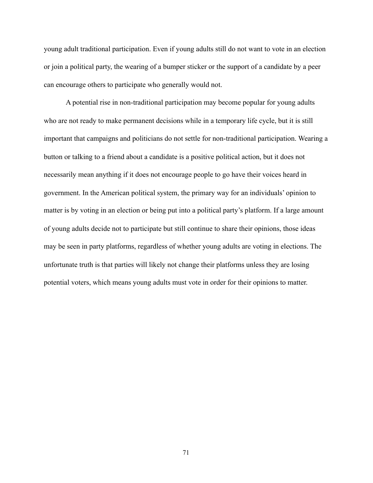young adult traditional participation. Even if young adults still do not want to vote in an election or join a political party, the wearing of a bumper sticker or the support of a candidate by a peer can encourage others to participate who generally would not.

 A potential rise in non-traditional participation may become popular for young adults who are not ready to make permanent decisions while in a temporary life cycle, but it is still important that campaigns and politicians do not settle for non-traditional participation. Wearing a button or talking to a friend about a candidate is a positive political action, but it does not necessarily mean anything if it does not encourage people to go have their voices heard in government. In the American political system, the primary way for an individuals' opinion to matter is by voting in an election or being put into a political party's platform. If a large amount of young adults decide not to participate but still continue to share their opinions, those ideas may be seen in party platforms, regardless of whether young adults are voting in elections. The unfortunate truth is that parties will likely not change their platforms unless they are losing potential voters, which means young adults must vote in order for their opinions to matter.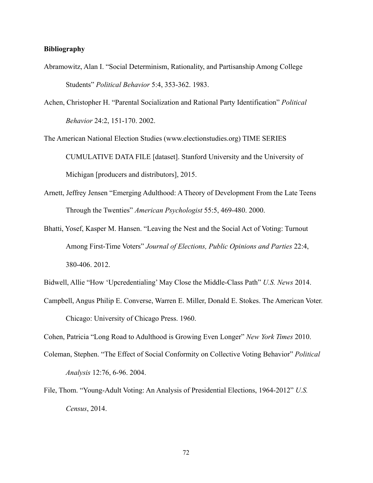## **Bibliography**

- Abramowitz, Alan I. "Social Determinism, Rationality, and Partisanship Among College Students" *Political Behavior* 5:4, 353-362. 1983.
- Achen, Christopher H. "Parental Socialization and Rational Party Identification" *Political Behavior* 24:2, 151-170. 2002.

The American National Election Studies ([www.electionstudies.org](http://www.electionstudies.org)) TIME SERIES CUMULATIVE DATA FILE [dataset]. Stanford University and the University of Michigan [producers and distributors], 2015.

- Arnett, Jeffrey Jensen "Emerging Adulthood: A Theory of Development From the Late Teens Through the Twenties" *American Psychologist* 55:5, 469-480. 2000.
- Bhatti, Yosef, Kasper M. Hansen. "Leaving the Nest and the Social Act of Voting: Turnout Among First-Time Voters" *Journal of Elections, Public Opinions and Parties* 22:4, 380-406. 2012.
- Bidwell, Allie "How 'Upcredentialing' May Close the Middle-Class Path" *U.S. News* 2014.
- Campbell, Angus Philip E. Converse, Warren E. Miller, Donald E. Stokes. The American Voter. Chicago: University of Chicago Press. 1960.

Cohen, Patricia "Long Road to Adulthood is Growing Even Longer" *New York Times* 2010.

- Coleman, Stephen. "The Effect of Social Conformity on Collective Voting Behavior" *Political Analysis* 12:76, 6-96. 2004.
- File, Thom. "Young-Adult Voting: An Analysis of Presidential Elections, 1964-2012" *U.S. Census*, 2014.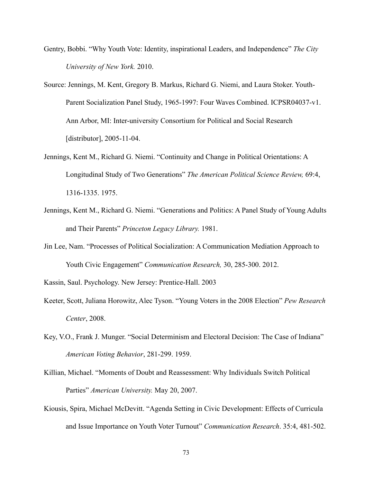- Gentry, Bobbi. "Why Youth Vote: Identity, inspirational Leaders, and Independence" *The City University of New York.* 2010.
- Source: Jennings, M. Kent, Gregory B. Markus, Richard G. Niemi, and Laura Stoker. Youth- Parent Socialization Panel Study, 1965-1997: Four Waves Combined. ICPSR04037-v1. Ann Arbor, MI: Inter-university Consortium for Political and Social Research [distributor], 2005-11-04.
- Jennings, Kent M., Richard G. Niemi. "Continuity and Change in Political Orientations: A Longitudinal Study of Two Generations" *The American Political Science Review,* 69:4, 1316-1335. 1975.
- Jennings, Kent M., Richard G. Niemi. "Generations and Politics: A Panel Study of Young Adults and Their Parents" *Princeton Legacy Library.* 1981.
- Jin Lee, Nam. "Processes of Political Socialization: A Communication Mediation Approach to Youth Civic Engagement" *Communication Research,* 30, 285-300. 2012.

Kassin, Saul. Psychology. New Jersey: Prentice-Hall. 2003

- Keeter, Scott, Juliana Horowitz, Alec Tyson. "Young Voters in the 2008 Election" *Pew Research Center*, 2008.
- Key, V.O., Frank J. Munger. "Social Determinism and Electoral Decision: The Case of Indiana" *American Voting Behavior*, 281-299. 1959.
- Killian, Michael. "Moments of Doubt and Reassessment: Why Individuals Switch Political Parties" *American University.* May 20, 2007.
- Kiousis, Spira, Michael McDevitt. "Agenda Setting in Civic Development: Effects of Curricula and Issue Importance on Youth Voter Turnout" *Communication Research*. 35:4, 481-502.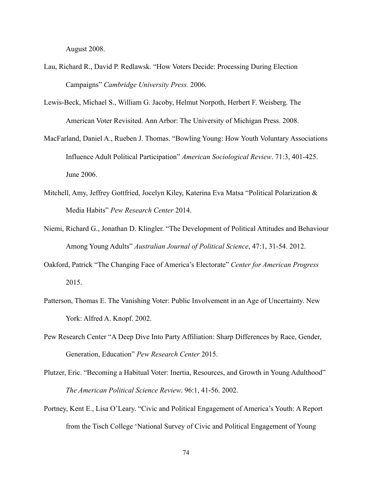August 2008.

- Lau, Richard R., David P. Redlawsk. "How Voters Decide: Processing During Election Campaigns" *Cambridge University Press.* 2006.
- Lewis-Beck, Michael S., William G. Jacoby, Helmut Norpoth, Herbert F. Weisberg. The American Voter Revisited. Ann Arbor: The University of Michigan Press. 2008.
- MacFarland, Daniel A., Rueben J. Thomas. "Bowling Young: How Youth Voluntary Associations Influence Adult Political Participation" *American Sociological Review*. 71:3, 401-425. June 2006.
- Mitchell, Amy, Jeffrey Gottfried, Jocelyn Kiley, Katerina Eva Matsa "Political Polarization & Media Habits" *Pew Research Center* 2014.
- Niemi, Richard G., Jonathan D. Klingler. "The Development of Political Attitudes and Behaviour Among Young Adults" *Australian Journal of Political Science*, 47:1, 31-54. 2012.
- Oakford, Patrick "The Changing Face of America's Electorate" *Center for American Progress* 2015.
- Patterson, Thomas E. The Vanishing Voter: Public Involvement in an Age of Uncertainty. New York: Alfred A. Knopf. 2002.
- Pew Research Center "A Deep Dive Into Party Affiliation: Sharp Differences by Race, Gender, Generation, Education" *Pew Research Center* 2015.
- Plutzer, Eric. "Becoming a Habitual Voter: Inertia, Resources, and Growth in Young Adulthood" *The American Political Science Review*. 96:1, 41-56. 2002.
- Portney, Kent E., Lisa O'Leary. "Civic and Political Engagement of America's Youth: A Report from the Tisch College 'National Survey of Civic and Political Engagement of Young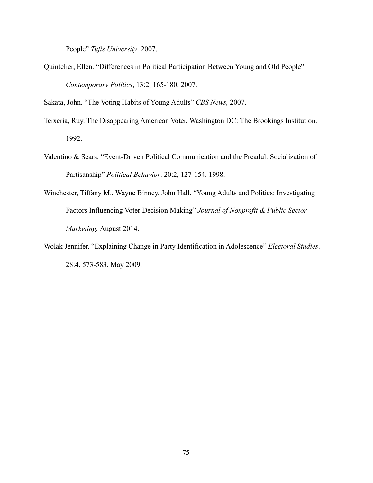People" *Tufts University*. 2007.

Quintelier, Ellen. "Differences in Political Participation Between Young and Old People" *Contemporary Politics*, 13:2, 165-180. 2007.

Sakata, John. "The Voting Habits of Young Adults" *CBS News,* 2007.

- Teixeria, Ruy. The Disappearing American Voter. Washington DC: The Brookings Institution. 1992.
- Valentino & Sears. "Event-Driven Political Communication and the Preadult Socialization of Partisanship" *Political Behavior*. 20:2, 127-154. 1998.
- Winchester, Tiffany M., Wayne Binney, John Hall. "Young Adults and Politics: Investigating Factors Influencing Voter Decision Making" *Journal of Nonprofit & Public Sector Marketing.* August 2014.
- Wolak Jennifer. "Explaining Change in Party Identification in Adolescence" *Electoral Studies*. 28:4, 573-583. May 2009.